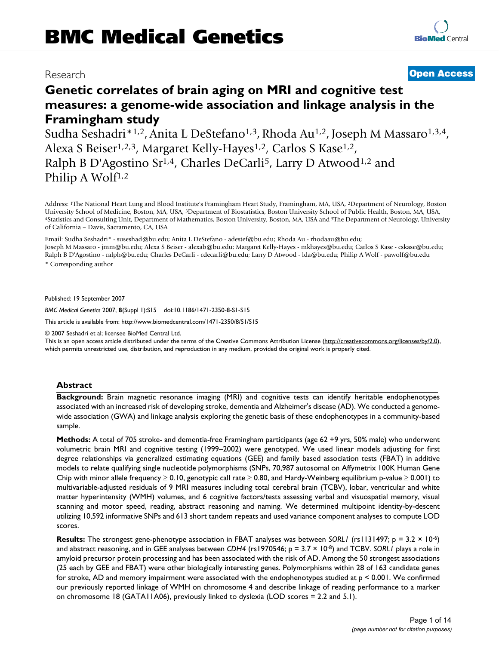# Research **[Open Access](http://www.biomedcentral.com/info/about/charter/)**

## **Genetic correlates of brain aging on MRI and cognitive test measures: a genome-wide association and linkage analysis in the Framingham study**

Sudha Seshadri\*<sup>1,2</sup>, Anita L DeStefano<sup>1,3</sup>, Rhoda Au<sup>1,2</sup>, Joseph M Massaro<sup>1,3,4</sup>, Alexa S Beiser<sup>1,2,3</sup>, Margaret Kelly-Hayes<sup>1,2</sup>, Carlos S Kase<sup>1,2</sup>, Ralph B D'Agostino Sr<sup>1,4</sup>, Charles DeCarli<sup>5</sup>, Larry D Atwood<sup>1,2</sup> and Philip A Wolf<sup>1,2</sup>

Address: <sup>1</sup>The National Heart Lung and Blood Institute's Framingham Heart Study, Framingham, MA, USA, <sup>2</sup>Department of Neurology, Boston University School of Medicine, Boston, MA, USA, <sup>3</sup>Department of Biostatistics, Bost 4Statistics and Consulting Unit, Department of Mathematics, Boston University, Boston, MA, USA and <sup>5</sup>The Department of Neurology, University of California – Davis, Sacramento, CA, USA

Email: Sudha Seshadri\* - suseshad@bu.edu; Anita L DeStefano - adestef@bu.edu; Rhoda Au - rhodaau@bu.edu; Joseph M Massaro - jmm@bu.edu; Alexa S Beiser - alexab@bu.edu; Margaret Kelly-Hayes - mkhayes@bu.edu; Carlos S Kase - cskase@bu.edu; Ralph B D'Agostino - ralph@bu.edu; Charles DeCarli - cdecarli@bu.edu; Larry D Atwood - lda@bu.edu; Philip A Wolf - pawolf@bu.edu

\* Corresponding author

Published: 19 September 2007

*BMC Medical Genetics* 2007, **8**(Suppl 1):S15 doi:10.1186/1471-2350-8-S1-S15

[This article is available from: http://www.biomedcentral.com/1471-2350/8/S1/S15](http://www.biomedcentral.com/1471-2350/8/S1/S15)

© 2007 Seshadri et al; licensee BioMed Central Ltd.

This is an open access article distributed under the terms of the Creative Commons Attribution License [\(http://creativecommons.org/licenses/by/2.0\)](http://creativecommons.org/licenses/by/2.0), which permits unrestricted use, distribution, and reproduction in any medium, provided the original work is properly cited.

#### **Abstract**

**Background:** Brain magnetic resonance imaging (MRI) and cognitive tests can identify heritable endophenotypes associated with an increased risk of developing stroke, dementia and Alzheimer's disease (AD). We conducted a genomewide association (GWA) and linkage analysis exploring the genetic basis of these endophenotypes in a community-based sample.

**Methods:** A total of 705 stroke- and dementia-free Framingham participants (age 62 +9 yrs, 50% male) who underwent volumetric brain MRI and cognitive testing (1999–2002) were genotyped. We used linear models adjusting for first degree relationships via generalized estimating equations (GEE) and family based association tests (FBAT) in additive models to relate qualifying single nucleotide polymorphisms (SNPs, 70,987 autosomal on Affymetrix 100K Human Gene Chip with minor allele frequency  $\geq 0.10$ , genotypic call rate  $\geq 0.80$ , and Hardy-Weinberg equilibrium p-value  $\geq 0.001$ ) to multivariable-adjusted residuals of 9 MRI measures including total cerebral brain (TCBV), lobar, ventricular and white matter hyperintensity (WMH) volumes, and 6 cognitive factors/tests assessing verbal and visuospatial memory, visual scanning and motor speed, reading, abstract reasoning and naming. We determined multipoint identity-by-descent utilizing 10,592 informative SNPs and 613 short tandem repeats and used variance component analyses to compute LOD scores.

**Results:** The strongest gene-phenotype association in FBAT analyses was between *SORL1* (rs1131497; p = 3.2 × 10-6) and abstract reasoning, and in GEE analyses between *CDH4* (rs1970546; p = 3.7 × 10-8) and TCBV. *SORL1* plays a role in amyloid precursor protein processing and has been associated with the risk of AD. Among the 50 strongest associations (25 each by GEE and FBAT) were other biologically interesting genes. Polymorphisms within 28 of 163 candidate genes for stroke, AD and memory impairment were associated with the endophenotypes studied at p < 0.001. We confirmed our previously reported linkage of WMH on chromosome 4 and describe linkage of reading performance to a marker on chromosome 18 (GATA11A06), previously linked to dyslexia (LOD scores = 2.2 and 5.1).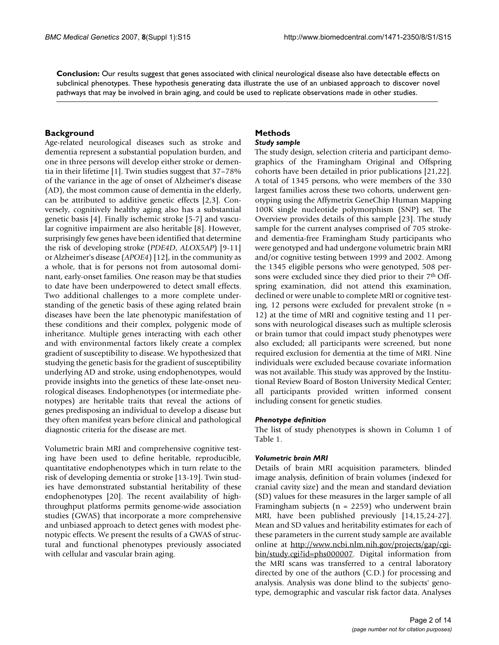**Conclusion:** Our results suggest that genes associated with clinical neurological disease also have detectable effects on subclinical phenotypes. These hypothesis generating data illustrate the use of an unbiased approach to discover novel pathways that may be involved in brain aging, and could be used to replicate observations made in other studies.

#### **Background**

Age-related neurological diseases such as stroke and dementia represent a substantial population burden, and one in three persons will develop either stroke or dementia in their lifetime [1]. Twin studies suggest that 37–78% of the variance in the age of onset of Alzheimer's disease (AD), the most common cause of dementia in the elderly, can be attributed to additive genetic effects [2,3]. Conversely, cognitively healthy aging also has a substantial genetic basis [4]. Finally ischemic stroke [5-7] and vascular cognitive impairment are also heritable [8]. However, surprisingly few genes have been identified that determine the risk of developing stroke (*PDE4D*, *ALOX5AP*) [9-11] or Alzheimer's disease (*APOE4*) [12], in the community as a whole, that is for persons not from autosomal dominant, early-onset families. One reason may be that studies to date have been underpowered to detect small effects. Two additional challenges to a more complete understanding of the genetic basis of these aging related brain diseases have been the late phenotypic manifestation of these conditions and their complex, polygenic mode of inheritance. Multiple genes interacting with each other and with environmental factors likely create a complex gradient of susceptibility to disease. We hypothesized that studying the genetic basis for the gradient of susceptibility underlying AD and stroke, using endophenotypes, would provide insights into the genetics of these late-onset neurological diseases. Endophenotypes (or intermediate phenotypes) are heritable traits that reveal the actions of genes predisposing an individual to develop a disease but they often manifest years before clinical and pathological diagnostic criteria for the disease are met.

Volumetric brain MRI and comprehensive cognitive testing have been used to define heritable, reproducible, quantitative endophenotypes which in turn relate to the risk of developing dementia or stroke [13-19]. Twin studies have demonstrated substantial heritability of these endophenotypes [20]. The recent availability of highthroughput platforms permits genome-wide association studies (GWAS) that incorporate a more comprehensive and unbiased approach to detect genes with modest phenotypic effects. We present the results of a GWAS of structural and functional phenotypes previously associated with cellular and vascular brain aging.

#### **Methods** *Study sample*

The study design, selection criteria and participant demographics of the Framingham Original and Offspring cohorts have been detailed in prior publications [21,22]. A total of 1345 persons, who were members of the 330 largest families across these two cohorts, underwent genotyping using the Affymetrix GeneChip Human Mapping 100K single nucleotide polymorphism (SNP) set. The Overview provides details of this sample [23]. The study sample for the current analyses comprised of 705 strokeand dementia-free Framingham Study participants who were genotyped and had undergone volumetric brain MRI and/or cognitive testing between 1999 and 2002. Among the 1345 eligible persons who were genotyped, 508 persons were excluded since they died prior to their 7<sup>th</sup> Offspring examination, did not attend this examination, declined or were unable to complete MRI or cognitive testing, 12 persons were excluded for prevalent stroke  $(n =$ 12) at the time of MRI and cognitive testing and 11 persons with neurological diseases such as multiple sclerosis or brain tumor that could impact study phenotypes were also excluded; all participants were screened, but none required exclusion for dementia at the time of MRI. Nine individuals were excluded because covariate information was not available. This study was approved by the Institutional Review Board of Boston University Medical Center; all participants provided written informed consent including consent for genetic studies.

#### *Phenotype definition*

The list of study phenotypes is shown in Column 1 of Table 1.

#### *Volumetric brain MRI*

Details of brain MRI acquisition parameters, blinded image analysis, definition of brain volumes (indexed for cranial cavity size) and the mean and standard deviation (SD) values for these measures in the larger sample of all Framingham subjects ( $n = 2259$ ) who underwent brain MRI, have been published previously [14,15,24-27]. Mean and SD values and heritability estimates for each of these parameters in the current study sample are available online at [http://www.ncbi.nlm.nih.gov/projects/gap/cgi](http://www.ncbi.nlm.nih.gov/projects/gap/cgi-bin/study.cgi?id=phs000007)[bin/study.cgi?id=phs000007](http://www.ncbi.nlm.nih.gov/projects/gap/cgi-bin/study.cgi?id=phs000007). Digital information from the MRI scans was transferred to a central laboratory directed by one of the authors (C.D.) for processing and analysis. Analysis was done blind to the subjects' genotype, demographic and vascular risk factor data. Analyses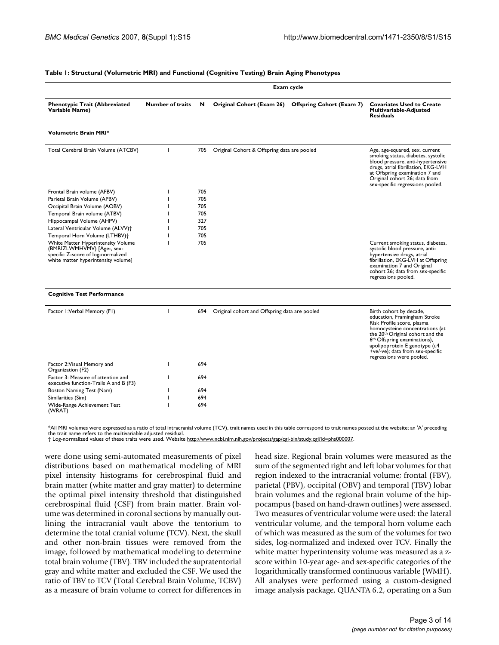#### **Table 1: Structural (Volumetric MRI) and Functional (Cognitive Testing) Brain Aging Phenotypes**

|                                                                                                                                               | Exam cycle              |     |                                                   |                                  |                                                                                                                                                                                                                                                                                                                       |
|-----------------------------------------------------------------------------------------------------------------------------------------------|-------------------------|-----|---------------------------------------------------|----------------------------------|-----------------------------------------------------------------------------------------------------------------------------------------------------------------------------------------------------------------------------------------------------------------------------------------------------------------------|
| <b>Phenotypic Trait (Abbreviated</b><br>Variable Name)                                                                                        | <b>Number of traits</b> | N   | Original Cohort (Exam 26)                         | <b>Offspring Cohort (Exam 7)</b> | <b>Covariates Used to Create</b><br>Multivariable-Adjusted<br><b>Residuals</b>                                                                                                                                                                                                                                        |
| <b>Volumetric Brain MRI*</b>                                                                                                                  |                         |     |                                                   |                                  |                                                                                                                                                                                                                                                                                                                       |
| Total Cerebral Brain Volume (ATCBV)                                                                                                           | $\mathbf{I}$            | 705 | Original Cohort & Offspring data are pooled       |                                  | Age, age-squared, sex, current<br>smoking status, diabetes, systolic<br>blood pressure, anti-hypertensive<br>drugs, atrial fibrillation, EKG-LVH<br>at Offspring examination 7 and<br>Original cohort 26; data from<br>sex-specific regressions pooled.                                                               |
| Frontal Brain volume (AFBV)                                                                                                                   |                         | 705 |                                                   |                                  |                                                                                                                                                                                                                                                                                                                       |
| Parietal Brain Volume (APBV)                                                                                                                  |                         | 705 |                                                   |                                  |                                                                                                                                                                                                                                                                                                                       |
| Occipital Brain Volume (AOBV)                                                                                                                 |                         | 705 |                                                   |                                  |                                                                                                                                                                                                                                                                                                                       |
| Temporal Brain volume (ATBV)                                                                                                                  |                         | 705 |                                                   |                                  |                                                                                                                                                                                                                                                                                                                       |
| Hippocampal Volume (AHPV)                                                                                                                     |                         | 327 |                                                   |                                  |                                                                                                                                                                                                                                                                                                                       |
| Lateral Ventricular Volume (ALVV) <sup>+</sup>                                                                                                |                         | 705 |                                                   |                                  |                                                                                                                                                                                                                                                                                                                       |
| Temporal Horn Volume (LTHBV)+                                                                                                                 |                         | 705 |                                                   |                                  |                                                                                                                                                                                                                                                                                                                       |
| White Matter Hyperintensity Volume<br>(BMRIZLWMHVMV) [Age-, sex-<br>specific Z-score of log-normalized<br>white matter hyperintensity volume] |                         | 705 |                                                   |                                  | Current smoking status, diabetes,<br>systolic blood pressure, anti-<br>hypertensive drugs, atrial<br>fibrillation, EKG-LVH at Offspring<br>examination 7 and Original<br>cohort 26; data from sex-specific<br>regressions pooled.                                                                                     |
| <b>Cognitive Test Performance</b>                                                                                                             |                         |     |                                                   |                                  |                                                                                                                                                                                                                                                                                                                       |
| Factor I: Verbal Memory (FI)                                                                                                                  | ı                       |     | 694 Original cohort and Offspring data are pooled |                                  | Birth cohort by decade,<br>education, Framingham Stroke<br>Risk Profile score, plasma<br>homocysteine concentrations (at<br>the 20 <sup>th</sup> Original cohort and the<br>6 <sup>th</sup> Offspring examinations),<br>apolipoprotein E genotype (ε4<br>+ve/-ve); data from sex-specific<br>regressions were pooled. |
| Factor 2: Visual Memory and<br>Organization (F2)                                                                                              |                         | 694 |                                                   |                                  |                                                                                                                                                                                                                                                                                                                       |
| Factor 3: Measure of attention and<br>executive function-Trails A and B (F3)                                                                  |                         | 694 |                                                   |                                  |                                                                                                                                                                                                                                                                                                                       |
| Boston Naming Test (Nam)                                                                                                                      |                         | 694 |                                                   |                                  |                                                                                                                                                                                                                                                                                                                       |
| Similarities (Sim)                                                                                                                            |                         | 694 |                                                   |                                  |                                                                                                                                                                                                                                                                                                                       |
| Wide-Range Achievement Test<br>(WRAT)                                                                                                         |                         | 694 |                                                   |                                  |                                                                                                                                                                                                                                                                                                                       |

\*All MRI volumes were expressed as a ratio of total intracranial volume (TCV), trait names used in this table correspond to trait names posted at the website; an 'A' preceding the trait name refers to the multivariable adjusted residual.

† Log-normalized values of these traits were used. Website <http://www.ncbi.nlm.nih.gov/projects/gap/cgi-bin/study.cgi?id=phs000007>.

were done using semi-automated measurements of pixel distributions based on mathematical modeling of MRI pixel intensity histograms for cerebrospinal fluid and brain matter (white matter and gray matter) to determine the optimal pixel intensity threshold that distinguished cerebrospinal fluid (CSF) from brain matter. Brain volume was determined in coronal sections by manually outlining the intracranial vault above the tentorium to determine the total cranial volume (TCV). Next, the skull and other non-brain tissues were removed from the image, followed by mathematical modeling to determine total brain volume (TBV). TBV included the supratentorial gray and white matter and excluded the CSF. We used the ratio of TBV to TCV (Total Cerebral Brain Volume, TCBV) as a measure of brain volume to correct for differences in

head size. Regional brain volumes were measured as the sum of the segmented right and left lobar volumes for that region indexed to the intracranial volume; frontal (FBV), parietal (PBV), occipital (OBV) and temporal (TBV) lobar brain volumes and the regional brain volume of the hippocampus (based on hand-drawn outlines) were assessed. Two measures of ventricular volume were used: the lateral ventricular volume, and the temporal horn volume each of which was measured as the sum of the volumes for two sides, log-normalized and indexed over TCV. Finally the white matter hyperintensity volume was measured as a zscore within 10-year age- and sex-specific categories of the logarithmically transformed continuous variable (WMH). All analyses were performed using a custom-designed image analysis package, QUANTA 6.2, operating on a Sun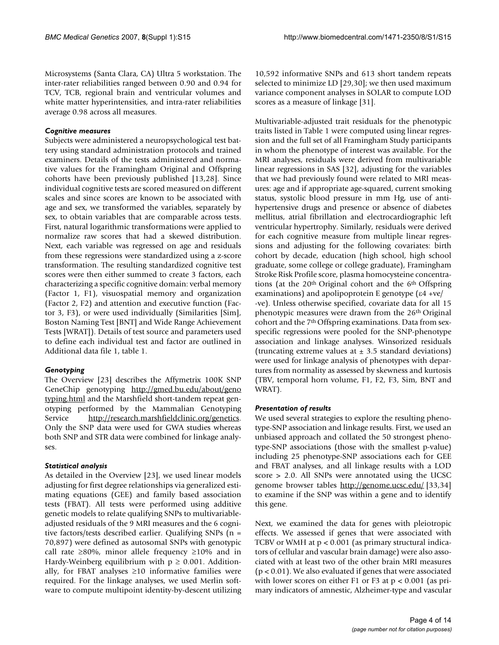Microsystems (Santa Clara, CA) Ultra 5 workstation. The inter-rater reliabilities ranged between 0.90 and 0.94 for TCV, TCB, regional brain and ventricular volumes and white matter hyperintensities, and intra-rater reliabilities average 0.98 across all measures.

#### *Cognitive measures*

Subjects were administered a neuropsychological test battery using standard administration protocols and trained examiners. Details of the tests administered and normative values for the Framingham Original and Offspring cohorts have been previously published [13,28]. Since individual cognitive tests are scored measured on different scales and since scores are known to be associated with age and sex, we transformed the variables, separately by sex, to obtain variables that are comparable across tests. First, natural logarithmic transformations were applied to normalize raw scores that had a skewed distribution. Next, each variable was regressed on age and residuals from these regressions were standardized using a z-score transformation. The resulting standardized cognitive test scores were then either summed to create 3 factors, each characterizing a specific cognitive domain: verbal memory (Factor 1, F1), visuospatial memory and organization (Factor 2, F2) and attention and executive function (Factor 3, F3), or were used individually (Similarities [Sim], Boston Naming Test [BNT] and Wide Range Achievement Tests [WRAT]). Details of test source and parameters used to define each individual test and factor are outlined in Additional data file 1, table 1.

#### *Genotyping*

The Overview [23] describes the Affymetrix 100K SNP GeneChip genotyping [http://gmed.bu.edu/about/geno](http://gmed.bu.edu/about/genotyping.html) [typing.html](http://gmed.bu.edu/about/genotyping.html) and the Marshfield short-tandem repeat genotyping performed by the Mammalian Genotyping Service [http://research.marshfieldclinic.org/genetics.](http://research.marshfieldclinic.org/genetics) Only the SNP data were used for GWA studies whereas both SNP and STR data were combined for linkage analyses.

#### *Statistical analysis*

As detailed in the Overview [23], we used linear models adjusting for first degree relationships via generalized estimating equations (GEE) and family based association tests (FBAT). All tests were performed using additive genetic models to relate qualifying SNPs to multivariableadjusted residuals of the 9 MRI measures and the 6 cognitive factors/tests described earlier. Qualifying SNPs (n = 70,897) were defined as autosomal SNPs with genotypic call rate  $\geq 80\%$ , minor allele frequency  $\geq 10\%$  and in Hardy-Weinberg equilibrium with  $p \geq 0.001$ . Additionally, for FBAT analyses  $\geq 10$  informative families were required. For the linkage analyses, we used Merlin software to compute multipoint identity-by-descent utilizing

10,592 informative SNPs and 613 short tandem repeats selected to minimize LD [29,30]; we then used maximum variance component analyses in SOLAR to compute LOD scores as a measure of linkage [31].

Multivariable-adjusted trait residuals for the phenotypic traits listed in Table 1 were computed using linear regression and the full set of all Framingham Study participants in whom the phenotype of interest was available. For the MRI analyses, residuals were derived from multivariable linear regressions in SAS [32], adjusting for the variables that we had previously found were related to MRI measures: age and if appropriate age-squared, current smoking status, systolic blood pressure in mm Hg, use of antihypertensive drugs and presence or absence of diabetes mellitus, atrial fibrillation and electrocardiographic left ventricular hypertrophy. Similarly, residuals were derived for each cognitive measure from multiple linear regressions and adjusting for the following covariates: birth cohort by decade, education (high school, high school graduate, some college or college graduate), Framingham Stroke Risk Profile score, plasma homocysteine concentrations (at the  $20<sup>th</sup>$  Original cohort and the  $6<sup>th</sup>$  Offspring examinations) and apolipoprotein E genotype (ε4 +ve/ -ve). Unless otherwise specified, covariate data for all 15 phenotypic measures were drawn from the 26<sup>th</sup> Original cohort and the 7<sup>th</sup> Offspring examinations. Data from sexspecific regressions were pooled for the SNP-phenotype association and linkage analyses. Winsorized residuals (truncating extreme values at  $\pm$  3.5 standard deviations) were used for linkage analysis of phenotypes with departures from normality as assessed by skewness and kurtosis (TBV, temporal horn volume, F1, F2, F3, Sim, BNT and WRAT).

#### *Presentation of results*

We used several strategies to explore the resulting phenotype-SNP association and linkage results. First, we used an unbiased approach and collated the 50 strongest phenotype-SNP associations (those with the smallest p-value) including 25 phenotype-SNP associations each for GEE and FBAT analyses, and all linkage results with a LOD score > 2.0. All SNPs were annotated using the UCSC genome browser tables <http://genome.ucsc.edu/> [33,34] to examine if the SNP was within a gene and to identify this gene.

Next, we examined the data for genes with pleiotropic effects. We assessed if genes that were associated with TCBV or WMH at p < 0.001 (as primary structural indicators of cellular and vascular brain damage) were also associated with at least two of the other brain MRI measures  $(p < 0.01)$ . We also evaluated if genes that were associated with lower scores on either F1 or F3 at  $p < 0.001$  (as primary indicators of amnestic, Alzheimer-type and vascular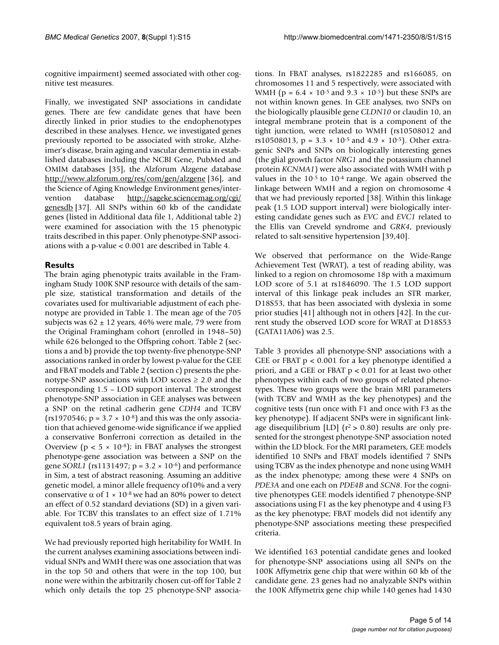cognitive impairment) seemed associated with other cognitive test measures.

Finally, we investigated SNP associations in candidate genes. There are few candidate genes that have been directly linked in prior studies to the endophenotypes described in these analyses. Hence, we investigated genes previously reported to be associated with stroke, Alzheimer's disease, brain aging and vascular dementia in established databases including the NCBI Gene, PubMed and OMIM databases [35], the Alzforum Alzgene database <http://www.alzforum.org/res/com/gen/alzgene> [36], and the Science of Aging Knowledge Environment genes/intervention database [http://sageke.sciencemag.org/cgi/](http://sageke.sciencemag.org/cgi/genesdb) [genesdb](http://sageke.sciencemag.org/cgi/genesdb) [37]. All SNPs within 60 kb of the candidate genes (listed in Additional data file 1, Additional table 2) were examined for association with the 15 phenotypic traits described in this paper. Only phenotype-SNP associations with a p-value < 0.001 are described in Table 4.

#### **Results**

The brain aging phenotypic traits available in the Framingham Study 100K SNP resource with details of the sample size, statistical transformation and details of the covariates used for multivariable adjustment of each phenotype are provided in Table 1. The mean age of the 705 subjects was  $62 \pm 12$  years, 46% were male, 79 were from the Original Framingham cohort (enrolled in 1948–50) while 626 belonged to the Offspring cohort. Table 2 (sections a and b) provide the top twenty-five phenotype-SNP associations ranked in order by lowest p-value for the GEE and FBAT models and Table 2 (section c) presents the phenotype-SNP associations with LOD scores  $\geq 2.0$  and the corresponding 1.5 – LOD support interval. The strongest phenotype-SNP association in GEE analyses was between a SNP on the retinal cadherin gene *CDH4* and TCBV  $(rs1970546; p = 3.7 \times 10^{-8})$  and this was the only association that achieved genome-wide significance if we applied a conservative Bonferroni correction as detailed in the Overview ( $p < 5 \times 10^{-8}$ ); in FBAT analyses the strongest phenotype-gene association was between a SNP on the gene *SORL1* (rs1131497;  $p = 3.2 \times 10^{-6}$ ) and performance in Sim, a test of abstract reasoning. Assuming an additive genetic model, a minor allele frequency of10% and a very conservative α of  $1 \times 10^{-8}$  we had an 80% power to detect an effect of 0.52 standard deviations (SD) in a given variable. For TCBV this translates to an effect size of 1.71% equivalent to8.5 years of brain aging.

We had previously reported high heritability for WMH. In the current analyses examining associations between individual SNPs and WMH there was one association that was in the top 50 and others that were in the top 100, but none were within the arbitrarily chosen cut-off for Table 2 which only details the top 25 phenotype-SNP associations. In FBAT analyses, rs1822285 and rs166085, on chromosomes 11 and 5 respectively, were associated with WMH ( $p = 6.4 \times 10^{-5}$  and  $9.3 \times 10^{-5}$ ) but these SNPs are not within known genes. In GEE analyses, two SNPs on the biologically plausible gene *CLDN10* or claudin 10, an integral membrane protein that is a component of the tight junction, were related to WMH (rs10508012 and rs10508013,  $p = 3.3 \times 10^{-5}$  and  $4.9 \times 10^{-5}$ ). Other extragenic SNPs and SNPs on biologically interesting genes (the glial growth factor *NRG1* and the potassium channel protein *KCNMA1*) were also associated with WMH with p values in the  $10^{-5}$  to  $10^{-4}$  range. We again observed the linkage between WMH and a region on chromosome 4 that we had previously reported [38]. Within this linkage peak (1.5 LOD support interval) were biologically interesting candidate genes such as *EVC* and *EVC1* related to the Ellis van Creveld syndrome and *GRK4*, previously related to salt-sensitive hypertension [39,40].

We observed that performance on the Wide-Range Achievement Test (WRAT), a test of reading ability, was linked to a region on chromosome 18p with a maximum LOD score of 5.1 at rs1846090. The 1.5 LOD support interval of this linkage peak includes an STR marker, D18S53, that has been associated with dyslexia in some prior studies [41] although not in others [42]. In the current study the observed LOD score for WRAT at D18S53 (GATA11A06) was 2.5.

Table 3 provides all phenotype-SNP associations with a GEE or FBAT  $p < 0.001$  for a key phenotype identified a priori, and a GEE or FBAT p < 0.01 for at least two other phenotypes within each of two groups of related phenotypes. These two groups were the brain MRI parameters (with TCBV and WMH as the key phenotypes) and the cognitive tests (run once with F1 and once with F3 as the key phenotype). If adjacent SNPs were in significant linkage disequilibrium [LD] ( $r^2 > 0.80$ ) results are only presented for the strongest phenotype-SNP association noted within the LD block. For the MRI parameters, GEE models identified 10 SNPs and FBAT models identified 7 SNPs using TCBV as the index phenotype and none using WMH as the index phenotype; among these were 4 SNPs on *PDE3A* and one each on *PDE4B* and *SCN8*. For the cognitive phenotypes GEE models identified 7 phenotype-SNP associations using F1 as the key phenotype and 4 using F3 as the key phenotype; FBAT models did not identify any phenotype-SNP associations meeting these prespecified criteria.

We identified 163 potential candidate genes and looked for phenotype-SNP associations using all SNPs on the 100K Affymetrix gene chip that were within 60 kb of the candidate gene. 23 genes had no analyzable SNPs within the 100K Affymetrix gene chip while 140 genes had 1430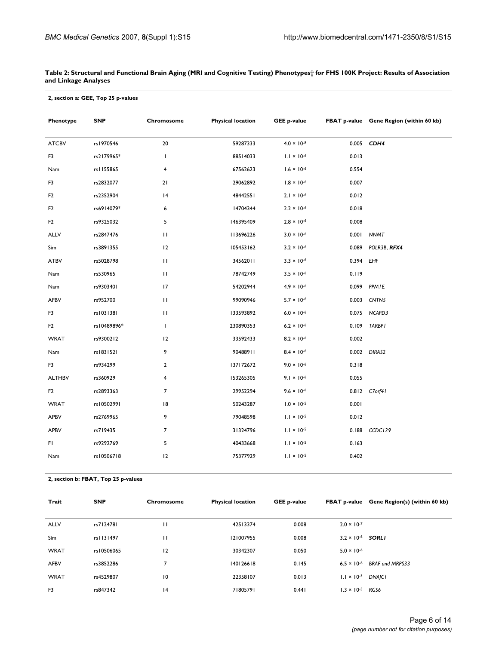#### **Table 2: Structural and Functional Brain Aging (MRI and Cognitive Testing) Phenotypes† for FHS 100K Project: Results of Association and Linkage Analyses**

| 2, section a: GEE, Top 25 p-values |  |  |  |  |
|------------------------------------|--|--|--|--|
|------------------------------------|--|--|--|--|

| Phenotype      | <b>SNP</b>  | Chromosome              | <b>Physical location</b><br><b>GEE p-value</b> |                      |           | FBAT p-value Gene Region (within 60 kb) |
|----------------|-------------|-------------------------|------------------------------------------------|----------------------|-----------|-----------------------------------------|
| <b>ATCBV</b>   | rs1970546   | ${\bf 20}$              | 59287333                                       | $4.0 \times 10^{-8}$ |           | 0.005 CDH4                              |
| F3             | rs2179965*  | L                       | 88514033                                       | $1.1 \times 10^{-6}$ | 0.013     |                                         |
| Nam            | rs1155865   | 4                       | 67562623                                       | $1.6 \times 10^{-6}$ | 0.554     |                                         |
| F3             | rs2832077   | 21                      | 29062892                                       | $1.8 \times 10^{-6}$ | 0.007     |                                         |
| F <sub>2</sub> | rs2352904   | 4                       | 48442551                                       | $2.1 \times 10^{-6}$ | 0.012     |                                         |
| F <sub>2</sub> | rs6914079*  | 6                       | 14704344                                       | $2.2 \times 10^{-6}$ | 0.018     |                                         |
| F <sub>2</sub> | rs9325032   | 5                       | 146395409                                      | $2.8 \times 10^{-6}$ | 0.008     |                                         |
| ALLV           | rs2847476   | $\mathbf{H}$            | 113696226                                      | $3.0 \times 10^{-6}$ |           | 0.001 NNMT                              |
| Sim            | rs3891355   | 12                      | 105453162                                      | $3.2 \times 10^{-6}$ | 0.089     | POLR3B, RFX4                            |
| <b>ATBV</b>    | rs5028798   | П                       | 34562011                                       | $3.3 \times 10^{-6}$ | 0.394 EHF |                                         |
| Nam            | rs530965    | $\mathbf{H}$            | 78742749                                       | $3.5 \times 10^{-6}$ | 0.119     |                                         |
| Nam            | rs9303401   | 17                      | 54202944                                       | $4.9 \times 10^{-6}$ | 0.099     | PPMIE                                   |
| AFBV           | rs952700    | $\mathbf{H}$            | 99090946                                       | $5.7 \times 10^{-6}$ |           | 0.003 CNTN5                             |
| F3             | rs1031381   | П                       | 133593892                                      | $6.0 \times 10^{-6}$ |           | 0.075 NCAPD3                            |
| F <sub>2</sub> | rs10489896* | L                       | 230890353                                      | $6.2 \times 10^{-6}$ |           | 0.109 TARBPI                            |
| <b>WRAT</b>    | rs9300212   | 12                      | 33592433                                       | $8.2 \times 10^{-6}$ | 0.002     |                                         |
| Nam            | rs1831521   | 9                       | 90488911                                       | $8.4 \times 10^{-6}$ |           | 0.002 DIRAS2                            |
| F3             | rs934299    | $\overline{2}$          | 137172672                                      | $9.0 \times 10^{-6}$ | 0.318     |                                         |
| <b>ALTHBV</b>  | rs360929    | $\overline{\mathbf{4}}$ | 153265305                                      | $9.1 \times 10^{-6}$ | 0.055     |                                         |
| F <sub>2</sub> | rs2893363   | $\overline{7}$          | 29952294                                       | $9.6 \times 10^{-6}$ |           | 0.812 C7orf41                           |
| <b>WRAT</b>    | rs10502991  | 8                       | 50243287                                       | $1.0 \times 10^{-5}$ | 0.001     |                                         |
| <b>APBV</b>    | rs2769965   | 9                       | 79048598                                       | $1.1 \times 10^{-5}$ | 0.012     |                                         |
| APBV           | rs719435    | $\overline{7}$          | 31324796                                       | $1.1 \times 10^{-5}$ |           | 0.188 CCDC129                           |
| FI.            | rs9292769   | 5                       | 40433668                                       | $1.1 \times 10^{-5}$ | 0.163     |                                         |
| Nam            | rs10506718  | 12                      | 75377929                                       | $1.1 \times 10^{-5}$ | 0.402     |                                         |
|                |             |                         |                                                |                      |           |                                         |

**2, section b: FBAT, Top 25 p-values**

| Trait          | <b>SNP</b> | Chromosome     | <b>Physical location</b> | <b>GEE p-value</b> |                            | FBAT p-value Gene Region(s) (within 60 kb) |
|----------------|------------|----------------|--------------------------|--------------------|----------------------------|--------------------------------------------|
|                |            |                |                          |                    |                            |                                            |
| <b>ALLV</b>    | rs7124781  | П              | 42513374                 | 0.008              | $2.0 \times 10^{-7}$       |                                            |
| <b>Sim</b>     | rs1131497  | П              | 121007955                | 0.008              | $3.2 \times 10^{-6}$ SORLI |                                            |
| <b>WRAT</b>    | rs10506065 | 12             | 30342307                 | 0.050              | $5.0 \times 10^{-6}$       |                                            |
| <b>AFBV</b>    | rs3852286  | $\overline{7}$ | 140126618                | 0.145              | $6.5 \times 10^{-6}$       | <b>BRAF and MRPS33</b>                     |
| <b>WRAT</b>    | rs4529807  | 10             | 22358107                 | 0.013              | $1.1 \times 10^{-5}$       | <b>DNAICI</b>                              |
| F <sub>3</sub> | rs847342   | 14             | 71805791                 | 0.441              | $1.3 \times 10^{-5}$       | RGS6                                       |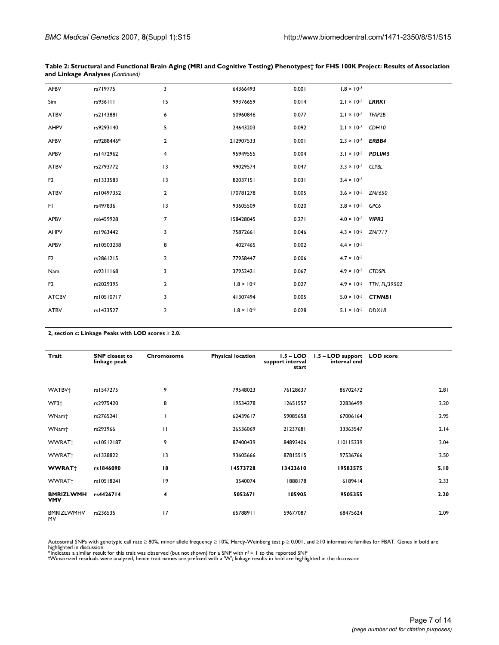| AFBV           | rs719775   | 3              | 64366493             | 0.001 | $1.8 \times 10^{-5}$        |                                    |
|----------------|------------|----------------|----------------------|-------|-----------------------------|------------------------------------|
| Sim            | rs936111   | 15             | 99376659             | 0.014 | $2.1 \times 10^{-5}$ LRRKI  |                                    |
| <b>ATBV</b>    | rs2143881  | 6              | 50960846             | 0.077 | $2.1 \times 10^{-5}$ TFAP2B |                                    |
| <b>AHPV</b>    | rs9293140  | 5              | 24643203             | 0.092 | $2.1 \times 10^{-5}$ CDH10  |                                    |
| AFBV           | rs9288446* | $\overline{2}$ | 212907533            | 0.001 | $2.3 \times 10^{-5}$ ERBB4  |                                    |
| <b>APBV</b>    | rs1472962  | 4              | 95949555             | 0.004 | $3.1 \times 10^{-5}$ PDLIM5 |                                    |
| <b>ATBV</b>    | rs2793772  | 13             | 99029574             | 0.047 | $3.3 \times 10^{-5}$ CLYBL  |                                    |
| F <sub>2</sub> | rs1333583  | 3              | 82037151             | 0.031 | $3.4 \times 10^{-5}$        |                                    |
| <b>ATBV</b>    | rs10497352 | $\overline{2}$ | 170781278            | 0.005 | $3.6 \times 10^{-5}$ ZNF650 |                                    |
| FI.            | rs497836   | 13             | 93605509             | 0.020 | $3.8 \times 10^{-5}$ GPC6   |                                    |
| <b>APBV</b>    | rs6459928  | $\overline{7}$ | 158428045            | 0.271 | $4.0 \times 10^{-5}$ VIPR2  |                                    |
| AHPV           | rs1963442  | 3              | 75872661             | 0.046 | $4.3 \times 10^{-5}$ ZNF717 |                                    |
| <b>APBV</b>    | rs10503238 | 8              | 4027465              | 0.002 | $4.4 \times 10^{-5}$        |                                    |
| F <sub>2</sub> | rs2861215  | 2              | 77958447             | 0.006 | $4.7 \times 10^{-5}$        |                                    |
| Nam            | rs9311168  | 3              | 37952421             | 0.067 | $4.9 \times 10^{-5}$ CTDSPL |                                    |
| F <sub>2</sub> | rs2029395  | $\overline{2}$ | $1.8 \times 10^{-8}$ | 0.027 |                             | $4.9 \times 10^{-5}$ TTN, FLJ39502 |
| <b>ATCBV</b>   | rs10510717 | 3              | 41307494             | 0.005 | $5.0 \times 10^{-5}$ CTNNBI |                                    |
| <b>ATBV</b>    | rs1433527  | $\mathbf{2}$   | $1.8 \times 10^{-8}$ | 0.028 | $5.1 \times 10^{-5}$ DDX18  |                                    |

|                                         |  | Table 2: Structural and Functional Brain Aging (MRI and Cognitive Testing) Phenotypes† for FHS 100K Project: Results of Association |
|-----------------------------------------|--|-------------------------------------------------------------------------------------------------------------------------------------|
| and Linkage Analyses <i>(Continued)</i> |  |                                                                                                                                     |

**2, section c: Linkage Peaks with LOD scores** ≥ **2.0.**

| Trait                          | <b>SNP</b> closest to<br>linkage peak | Chromosome  | <b>Physical location</b> | $1.5 - LOD$<br>support interval<br>start | 1.5 - LOD support LOD score<br>interval end |      |
|--------------------------------|---------------------------------------|-------------|--------------------------|------------------------------------------|---------------------------------------------|------|
|                                |                                       |             |                          |                                          |                                             |      |
| WATBV <sup>+</sup>             | rs1547275                             | 9           | 79548023                 | 76128637                                 | 86702472                                    | 2.81 |
| WF3+                           | rs2975420                             | 8           | 19534278                 | 12651557                                 | 22836499                                    | 2.20 |
| WNam <sup>+</sup>              | rs2765241                             |             | 62439617                 | 59085658                                 | 67006164                                    | 2.95 |
| WNam <sup>+</sup>              | rs293966                              | П           | 26536069                 | 21237681                                 | 33363547                                    | 2.14 |
| WWRAT+                         | rs10512187                            | 9           | 87400439                 | 84893406                                 | 110115339                                   | 2.04 |
| WWRAT+                         | rs1328822                             | 3           | 93605666                 | 87815515                                 | 97536766                                    | 2.50 |
| <b>WWRAT</b> †                 | rs1846090                             | 18          | 14573728                 | 13423610                                 | 19583575                                    | 5.10 |
| WWRAT+                         | rs10518241                            | $ 9\rangle$ | 3540074                  | 1888178                                  | 6189414                                     | 2.33 |
| <b>BMRIZLWMH</b><br><b>VMV</b> | rs4426714                             | 4           | 5052671                  | 105905                                   | 9505355                                     | 2.20 |
| <b>BMRIZLWMHV</b><br><b>MV</b> | rs236535                              | 17          | 65788911                 | 59677087                                 | 68475624                                    | 2.09 |

Autosomal SNPs with genotypic call rate ≥ 80%, minor allele frequency ≥ 10%, Hardy-Weinberg test p ≥ 0.001, and ≥10 informative families for FBAT. Genes in bold are<br>highlighted in discussion<br>\*Indicates a similar result fo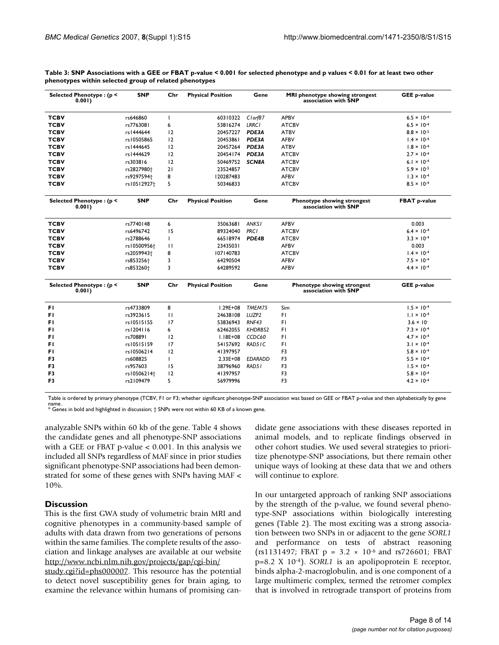| Selected Phenotype: (p <<br>0.001) | <b>SNP</b>              | Chr          | <b>Physical Position</b> | Gene           | MRI phenotype showing strongest<br>association with SNP | <b>GEE p-value</b>   |
|------------------------------------|-------------------------|--------------|--------------------------|----------------|---------------------------------------------------------|----------------------|
| <b>TCBV</b>                        | rs646860                | <sup>1</sup> | 60310322                 | Cl orf87       | <b>APBV</b>                                             | $6.5 \times 10^{-4}$ |
| <b>TCBV</b>                        | rs7763081               | 6            | 53816274                 | <b>LRRC1</b>   | <b>ATCBV</b>                                            | $6.5 \times 10^{-4}$ |
| <b>TCBV</b>                        | rs1444644               | 12           | 20457227                 | PDE3A          | <b>ATBV</b>                                             | $8.8 \times 10^{-5}$ |
| <b>TCBV</b>                        | rs10505865              | 12           | 20453861                 | PDE3A          | <b>AFBV</b>                                             | $1.4 \times 10^{-4}$ |
| <b>TCBV</b>                        | rs1444645               | 12           | 20457264                 | PDE3A          | <b>ATBV</b>                                             | $1.8 \times 10^{-4}$ |
| <b>TCBV</b>                        | rs1444629               | 12           | 20454174                 | PDE3A          | <b>ATCBV</b>                                            | $2.7 \times 10^{-4}$ |
| <b>TCBV</b>                        | rs303816                | 12           | 50469752                 | <b>SCN8A</b>   | <b>ATCBV</b>                                            | $6.1 \times 10^{-4}$ |
| <b>TCBV</b>                        | rs2827980+              | 21           | 23524857                 |                | <b>ATCBV</b>                                            | $5.9 \times 10^{-5}$ |
| <b>TCBV</b>                        | rs9297594 <sup>+</sup>  | 8            | 120287483                |                | <b>AFBV</b>                                             | $1.3 \times 10^{-4}$ |
| <b>TCBV</b>                        | rs10512927 <sup>+</sup> | 5            | 50346833                 |                | <b>ATCBV</b>                                            | $8.5 \times 10^{-4}$ |
| Selected Phenotype: (p <<br>0.001  | <b>SNP</b>              | Chr          | <b>Physical Position</b> | Gene           | Phenotype showing strongest<br>association with SNP     | <b>FBAT p-value</b>  |
| <b>TCBV</b>                        | rs7740148               | 6            | 35063681                 | <b>ANKSI</b>   | <b>AFBV</b>                                             | 0.003                |
| <b>TCBV</b>                        | rs6496742               | 15           | 89324040                 | <b>PRC1</b>    | <b>ATCBV</b>                                            | $6.4 \times 10^{-4}$ |
| <b>TCBV</b>                        | rs2788646               | ı            | 66518974                 | PDE4B          | <b>ATCBV</b>                                            | $3.3 \times 10^{-4}$ |
| <b>TCBV</b>                        | rs10500956†             | $\mathbf{H}$ | 23435031                 |                | <b>AFBV</b>                                             | 0.003                |
| <b>TCBV</b>                        | rs2059943+              | 8            | 107140783                |                | <b>ATCBV</b>                                            | $1.4 \times 10^{-4}$ |
| <b>TCBV</b>                        | rs853256 <sup>+</sup>   | 3            | 64290504                 |                | <b>AFBV</b>                                             | $7.5 \times 10^{-4}$ |
| <b>TCBV</b>                        | rs853260 <sup>+</sup>   | 3            | 64289592                 |                | <b>AFBV</b>                                             | $4.4 \times 10^{-4}$ |
| Selected Phenotype: (p <<br>0.001) | <b>SNP</b>              | Chr          | <b>Physical Position</b> | Gene           | Phenotype showing strongest<br>association with SNP     | <b>GEE p-value</b>   |
| FI.                                | rs4733809               | 8            | $1.29E + 08$             | TMEM75         | Sim                                                     | $1.5 \times 10^{-4}$ |
| FI.                                | rs3923615               | $\mathbf{H}$ | 24638108                 | LUZP2          | FI.                                                     | $1.1 \times 10^{-4}$ |
| FI.                                | rs10515155              | 17           | 53836943                 | RNF43          | FI                                                      | $3.6 \times 10^{-7}$ |
| FI.                                | rs1204116               | 6            | 62462055                 | <b>KHDRBS2</b> | FI.                                                     | $7.3 \times 10^{-4}$ |
| FI.                                | rs708891                | 12           | $1.18E + 08$             | CCDC60         | FI.                                                     | $4.7 \times 10^{-4}$ |
| FI.                                | rs10515159              | 17           | 54157692                 | RAD51C         | FI                                                      | $3.1 \times 10^{-4}$ |
| FI.                                | rs10506214              | 12           | 41397957                 |                | F <sub>3</sub>                                          | $5.8 \times 10^{-4}$ |
| F3                                 | rs608825                | ı            | $2.33E + 08$             | <b>EDARADD</b> | F3                                                      | $5.5 \times 10^{-4}$ |
| F <sub>3</sub>                     | rs957603                | 15           | 38796960                 | RAD51          | F3                                                      | $1.5 \times 10^{-4}$ |
| F <sub>3</sub>                     | rs10506214 <sup>+</sup> | 12           | 41397957                 |                | F3                                                      | $5.8 \times 10^{-4}$ |
| F3                                 | rs2109479               | 5            | 56979996                 |                | F <sub>3</sub>                                          | $4.2 \times 10^{-4}$ |

|                                                        | Table 3: SNP Associations with a GEE or FBAT p-value < 0.001 for selected phenotype and p values < 0.01 for at least two other |
|--------------------------------------------------------|--------------------------------------------------------------------------------------------------------------------------------|
| phenotypes within selected group of related phenotypes |                                                                                                                                |

Table is ordered by primary phenotype (TCBV, F1 or F3; whether significant phenotype-SNP association was based on GEE or FBAT p-value and then alphabetically by gene name. \* Genes in bold and highlighted in discussion; † SNPs were not within 60 KB of a known gene.

analyzable SNPs within 60 kb of the gene. Table 4 shows the candidate genes and all phenotype-SNP associations with a GEE or FBAT p-value < 0.001. In this analysis we included all SNPs regardless of MAF since in prior studies significant phenotype-SNP associations had been demonstrated for some of these genes with SNPs having MAF < 10%.

#### **Discussion**

This is the first GWA study of volumetric brain MRI and cognitive phenotypes in a community-based sample of adults with data drawn from two generations of persons within the same families. The complete results of the association and linkage analyses are available at our website [http://www.ncbi.nlm.nih.gov/projects/gap/cgi-bin/](http://www.ncbi.nlm.nih.gov/projects/gap/cgi-bin/study.cgi?id=phs000007)

[study.cgi?id=phs000007.](http://www.ncbi.nlm.nih.gov/projects/gap/cgi-bin/study.cgi?id=phs000007) This resource has the potential to detect novel susceptibility genes for brain aging, to examine the relevance within humans of promising candidate gene associations with these diseases reported in animal models, and to replicate findings observed in other cohort studies. We used several strategies to prioritize phenotype-SNP associations, but there remain other unique ways of looking at these data that we and others will continue to explore.

In our untargeted approach of ranking SNP associations by the strength of the p-value, we found several phenotype-SNP associations within biologically interesting genes (Table 2). The most exciting was a strong association between two SNPs in or adjacent to the gene *SORL1* and performance on tests of abstract reasoning (rs1131497; FBAT  $p = 3.2 \times 10^{-6}$  and rs726601; FBAT p=8.2 X 10-4). *SORL1* is an apolipoprotein E receptor, binds alpha-2-macroglobulin, and is one component of a large multimeric complex, termed the retromer complex that is involved in retrograde transport of proteins from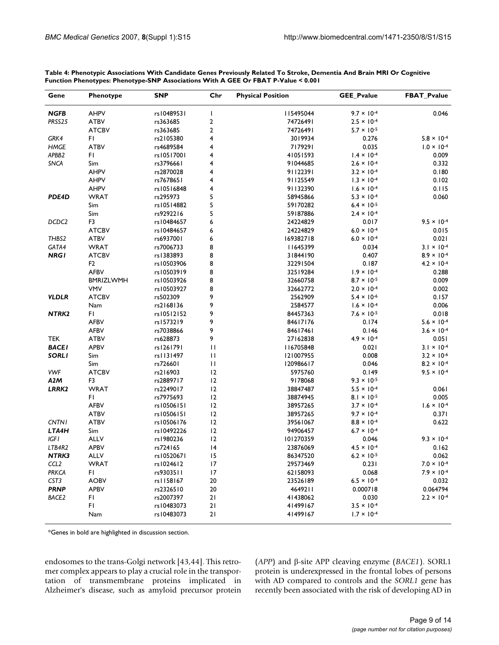| Gene              | Phenotype                  | <b>SNP</b>            | Chr          | <b>Physical Position</b> | GEE_Pvalue           | <b>FBAT_Pvalue</b>   |
|-------------------|----------------------------|-----------------------|--------------|--------------------------|----------------------|----------------------|
| <b>NGFB</b>       | <b>AHPV</b>                | rs10489531            | T            | II5495044                | $9.7 \times 10^{-4}$ | 0.046                |
| PRSS25            | <b>ATBV</b>                | rs363685              | 2            | 74726491                 | $2.5 \times 10^{-4}$ |                      |
|                   | <b>ATCBV</b>               | rs363685              | $\mathbf{2}$ | 74726491                 | $5.7 \times 10^{-5}$ |                      |
| GRK4              | FI                         | rs2105380             | 4            | 3019934                  | 0.276                | $5.8 \times 10^{-4}$ |
| <b>HMGE</b>       | <b>ATBV</b>                | rs4689584             | 4            | 7179291                  | 0.035                | $1.0 \times 10^{-4}$ |
| APBB2             | FI                         | rs10517001            | 4            | 41051593                 | $1.4 \times 10^{-4}$ | 0.009                |
| <b>SNCA</b>       | Sim                        | rs3796661             | 4            | 91044685                 | $2.6 \times 10^{-4}$ | 0.332                |
|                   | <b>AHPV</b>                | rs2870028             | 4            | 91122391                 | $3.2 \times 10^{-4}$ | 0.180                |
|                   | <b>AHPV</b>                | rs7678651             | 4            | 91125549                 | $1.3 \times 10^{-4}$ | 0.102                |
|                   | <b>AHPV</b>                | rs10516848            | 4            | 91132390                 | $1.6 \times 10^{-4}$ | 0.115                |
| PDE4D             | <b>WRAT</b>                | rs295973              | 5            | 58945866                 | $5.3 \times 10^{-4}$ | 0.060                |
|                   | Sim                        | rs10514882            | 5            | 59170282                 | $6.4 \times 10^{-5}$ |                      |
|                   | Sim                        | rs9292216             | 5            | 59187886                 | $2.4 \times 10^{-4}$ |                      |
| DCDC <sub>2</sub> | F <sub>3</sub>             | rs10484657            | 6            | 24224829                 | 0.017                | $9.5 \times 10^{-4}$ |
|                   | <b>ATCBV</b>               | rs10484657            | 6            | 24224829                 | $6.0 \times 10^{-4}$ | 0.015                |
| THBS2             | <b>ATBV</b>                | rs6937001             | 6            | 169382718                | $6.0 \times 10^{-4}$ | 0.021                |
| GATA4             | <b>WRAT</b>                | rs7006733             | 8            | 11645399                 | 0.034                | $3.1 \times 10^{-4}$ |
| <b>NRGI</b>       | <b>ATCBV</b>               | rs1383893             | 8            | 31844190                 | 0.407                | $8.9 \times 10^{-4}$ |
|                   | F <sub>2</sub>             | rs10503906            | 8            | 32291504                 | 0.187                | $4.2 \times 10^{-4}$ |
|                   | <b>AFBV</b>                | rs10503919            | 8            | 32519284                 | $1.9 \times 10^{-4}$ | 0.288                |
|                   | <b>BMRIZLWMH</b>           | rs10503926            | 8            | 32660758                 | $8.7 \times 10^{-5}$ | 0.009                |
|                   | <b>VMV</b>                 | rs10503927            | 8            | 32662772                 | $2.0 \times 10^{-4}$ | 0.002                |
| <b>VLDLR</b>      | <b>ATCBV</b>               | rs502309              | 9            | 2562909                  | $5.4 \times 10^{-6}$ | 0.157                |
|                   | Nam                        | rs2168136             | 9            | 2584577                  | $1.6 \times 10^{-4}$ | 0.006                |
| NTRK2             | F1                         | rs10512152            | 9            | 84457363                 | $7.6 \times 10^{-5}$ | 0.018                |
|                   | <b>AFBV</b>                | rs1573219             | 9            | 84617176                 | 0.174                | $5.6 \times 10^{-4}$ |
|                   | <b>AFBV</b>                | rs7038866             | 9            | 84617461                 | 0.146                | $3.6 \times 10^{-4}$ |
| <b>TEK</b>        | <b>ATBV</b>                | rs628873              | 9            | 27162838                 | $4.9 \times 10^{-4}$ | 0.051                |
| <b>BACEI</b>      | <b>APBV</b>                | rs1261791             | $\mathbf{H}$ | 116705848                | 0.021                | $3.1 \times 10^{-4}$ |
| <b>SORLI</b>      | Sim                        | rs1131497             | $\mathbf{H}$ | 121007955                | 0.008                | $3.2 \times 10^{-6}$ |
|                   | Sim                        | rs726601              | $\mathbf{H}$ | 120986617                | 0.046                | $8.2 \times 10^{-4}$ |
| <b>VWF</b>        | <b>ATCBV</b>               | rs216903              | 12           | 5975760                  | 0.149                | $9.5 \times 10^{-4}$ |
| A <sub>2</sub> M  | F3                         | rs2889717             | 12           | 9178068                  | $9.3 \times 10^{-5}$ |                      |
| LRRK2             | <b>WRAT</b>                | rs2249017             | 12           | 38847487                 | $5.5 \times 10^{-4}$ | 0.061                |
|                   | F1                         | rs7975693             | 12           | 38874945                 | $8.1 \times 10^{-5}$ | 0.005                |
|                   | <b>AFBV</b>                | rs10506151            | 12           | 38957265                 | $3.7 \times 10^{-4}$ | $1.6 \times 10^{-4}$ |
|                   | <b>ATBV</b>                | rs10506151            | 12           | 38957265                 | $9.7 \times 10^{-4}$ | 0.371                |
| <b>CNTN1</b>      | <b>ATBV</b>                | rs10506176            | 12           | 39561067                 | $8.8 \times 10^{-4}$ | 0.622                |
| LTA4H             | Sim                        | rs10492226            | 12           | 94906457                 | $6.7 \times 10^{-4}$ |                      |
| <b>IGFI</b>       |                            |                       | 12           |                          | 0.046                | $9.3 \times 10^{-4}$ |
| LTB4R2            | <b>ALLV</b><br><b>APBV</b> | rs1980236<br>rs724165 | 4            | 101270359<br>23876069    | $4.5 \times 10^{-4}$ |                      |
|                   |                            |                       |              |                          |                      | 0.162                |
| NTRK3             | <b>ALLV</b>                | rs10520671            | 15           | 86347520                 | $6.2 \times 10^{-5}$ | 0.062                |
| CCL <sub>2</sub>  | WRAT                       | rs1024612             | 17           | 29573469                 | 0.231                | $7.0 \times 10^{-4}$ |
| <b>PRKCA</b>      | FL.                        | rs9303511             | 17           | 62158093                 | 0.068                | $7.9 \times 10^{-4}$ |
| CST <sub>3</sub>  | <b>AOBV</b>                | rs1158167             | 20           | 23526189                 | $6.5 \times 10^{-4}$ | 0.032                |
| <b>PRNP</b>       | <b>APBV</b>                | rs2326510             | 20           | 4649211                  | 0.000718             | 0.064794             |
| BACE <sub>2</sub> | FI.                        | rs2007397             | 21           | 41438062                 | 0.030                | $2.2 \times 10^{-4}$ |
|                   | FI.                        | rs10483073            | 21           | 41499167                 | $3.5 \times 10^{-4}$ |                      |
|                   | Nam                        | rs10483073            | 21           | 41499167                 | $1.7 \times 10^{-4}$ |                      |

**Table 4: Phenotypic Associations With Candidate Genes Previously Related To Stroke, Dementia And Brain MRI Or Cognitive Function Phenotypes: Phenotype-SNP Associations With A GEE Or FBAT P-Value < 0.001**

\*Genes in bold are highlighted in discussion section.

endosomes to the trans-Golgi network [43,44]. This retromer complex appears to play a crucial role in the transportation of transmembrane proteins implicated in Alzheimer's disease, such as amyloid precursor protein (*APP*) and β-site APP cleaving enzyme (*BACE1*). SORL1 protein is underexpressed in the frontal lobes of persons with AD compared to controls and the *SORL1* gene has recently been associated with the risk of developing AD in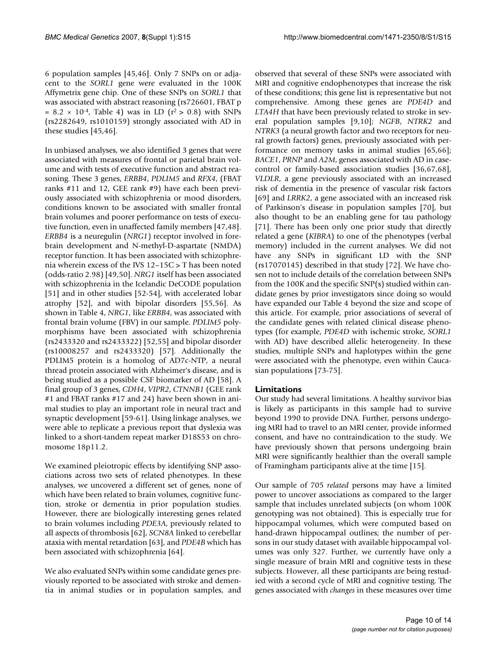6 population samples [45,46]. Only 7 SNPs on or adjacent to the *SORL1* gene were evaluated in the 100K Affymetrix gene chip. One of these SNPs on *SORL1* that was associated with abstract reasoning (rs726601, FBAT p  $= 8.2 \times 10^{-4}$ , Table 4) was in LD ( $r^2 > 0.8$ ) with SNPs (rs2282649, rs1010159) strongly associated with AD in these studies [45,46].

In unbiased analyses, we also identified 3 genes that were associated with measures of frontal or parietal brain volume and with tests of executive function and abstract reasoning. These 3 genes, *ERBB4*, *PDLIM5* and *RFX4*, (FBAT ranks #11 and 12, GEE rank #9) have each been previously associated with schizophrenia or mood disorders, conditions known to be associated with smaller frontal brain volumes and poorer performance on tests of executive function, even in unaffected family members [47,48]. *ERBB4* is a neuregulin (*NRG1*) receptor involved in forebrain development and N-methyl-D-aspartate (NMDA) receptor function. It has been associated with schizophrenia wherein excess of the IVS 12–15C > T has been noted (odds-ratio 2.98) [49,50]. *NRG1* itself has been associated with schizophrenia in the Icelandic DeCODE population [51] and in other studies [52-54], with accelerated lobar atrophy [52], and with bipolar disorders [55,56]. As shown in Table 4, *NRG1*, like *ERBB4*, was associated with frontal brain volume (FBV) in our sample. *PDLIM5* polymorphisms have been associated with schizophrenia (rs2433320 and rs2433322) [52,55] and bipolar disorder (rs10008257 and rs2433320) [57]. Additionally the PDLIM5 protein is a homolog of AD7c-NTP, a neural thread protein associated with Alzheimer's disease, and is being studied as a possible CSF biomarker of AD [58]. A final group of 3 genes, *CDH4*, *VIPR2*, *CTNNB1* (GEE rank #1 and FBAT ranks #17 and 24) have been shown in animal studies to play an important role in neural tract and synaptic development [59-61]. Using linkage analyses, we were able to replicate a previous report that dyslexia was linked to a short-tandem repeat marker D18S53 on chromosome 18p11.2.

We examined pleiotropic effects by identifying SNP associations across two sets of related phenotypes. In these analyses, we uncovered a different set of genes, none of which have been related to brain volumes, cognitive function, stroke or dementia in prior population studies. However, there are biologically interesting genes related to brain volumes including *PDE3A*, previously related to all aspects of thrombosis [62], *SCN8A* linked to cerebellar ataxia with mental retardation [63], and *PDE4B* which has been associated with schizophrenia [64].

We also evaluated SNPs within some candidate genes previously reported to be associated with stroke and dementia in animal studies or in population samples, and observed that several of these SNPs were associated with MRI and cognitive endophenotypes that increase the risk of these conditions; this gene list is representative but not comprehensive. Among these genes are *PDE4D* and *LTA4H* that have been previously related to stroke in several population samples [9,10]; *NGFB*, *NTRK2* and *NTRK3* (a neural growth factor and two receptors for neural growth factors) genes, previously associated with performance on memory tasks in animal studies [65,66]; *BACE1*, *PRNP* and *A2M*, genes associated with AD in casecontrol or family-based association studies [36,67,68], *VLDLR*, a gene previously associated with an increased risk of dementia in the presence of vascular risk factors [69] and *LRRK2*, a gene associated with an increased risk of Parkinson's disease in population samples [70], but also thought to be an enabling gene for tau pathology [71]. There has been only one prior study that directly related a gene (*KIBRA*) to one of the phenotypes (verbal memory) included in the current analyses. We did not have any SNPs in significant LD with the SNP (rs17070145) described in that study [72]. We have chosen not to include details of the correlation between SNPs from the 100K and the specific SNP(s) studied within candidate genes by prior investigators since doing so would have expanded our Table 4 beyond the size and scope of this article. For example, prior associations of several of the candidate genes with related clinical disease phenotypes (for example, *PDE4D* with ischemic stroke, *SORL1* with AD) have described allelic heterogeneity. In these studies, multiple SNPs and haplotypes within the gene were associated with the phenotype, even within Caucasian populations [73-75].

#### **Limitations**

Our study had several limitations. A healthy survivor bias is likely as participants in this sample had to survive beyond 1990 to provide DNA. Further, persons undergoing MRI had to travel to an MRI center, provide informed consent, and have no contraindication to the study. We have previously shown that persons undergoing brain MRI were significantly healthier than the overall sample of Framingham participants alive at the time [15].

Our sample of 705 *related* persons may have a limited power to uncover associations as compared to the larger sample that includes unrelated subjects (on whom 100K genotyping was not obtained). This is especially true for hippocampal volumes, which were computed based on hand-drawn hippocampal outlines; the number of persons in our study dataset with available hippocampal volumes was only 327. Further, we currently have only a single measure of brain MRI and cognitive tests in these subjects. However, all these participants are being restudied with a second cycle of MRI and cognitive testing. The genes associated with *changes* in these measures over time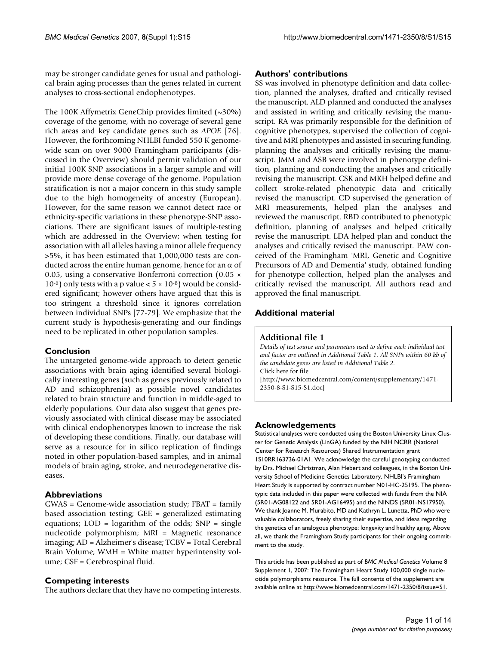may be stronger candidate genes for usual and pathological brain aging processes than the genes related in current analyses to cross-sectional endophenotypes.

The 100K Affymetrix GeneChip provides limited  $(\sim 30\%)$ coverage of the genome, with no coverage of several gene rich areas and key candidate genes such as *APOE* [76]. However, the forthcoming NHLBI funded 550 K genomewide scan on over 9000 Framingham participants (discussed in the Overview) should permit validation of our initial 100K SNP associations in a larger sample and will provide more dense coverage of the genome. Population stratification is not a major concern in this study sample due to the high homogeneity of ancestry (European). However, for the same reason we cannot detect race or ethnicity-specific variations in these phenotype-SNP associations. There are significant issues of multiple-testing which are addressed in the Overview; when testing for association with all alleles having a minor allele frequency >5%, it has been estimated that 1,000,000 tests are conducted across the entire human genome, hence for an  $\alpha$  of 0.05, using a conservative Bonferroni correction (0.05 ×  $10^{-6}$ ) only tests with a p value <  $5 \times 10^{-8}$ ) would be considered significant; however others have argued that this is too stringent a threshold since it ignores correlation between individual SNPs [77-79]. We emphasize that the current study is hypothesis-generating and our findings need to be replicated in other population samples.

#### **Conclusion**

The untargeted genome-wide approach to detect genetic associations with brain aging identified several biologically interesting genes (such as genes previously related to AD and schizophrenia) as possible novel candidates related to brain structure and function in middle-aged to elderly populations. Our data also suggest that genes previously associated with clinical disease may be associated with clinical endophenotypes known to increase the risk of developing these conditions. Finally, our database will serve as a resource for in silico replication of findings noted in other population-based samples, and in animal models of brain aging, stroke, and neurodegenerative diseases.

#### **Abbreviations**

GWAS = Genome-wide association study; FBAT = family based association testing; GEE = generalized estimating equations;  $LOD = logarithm$  of the odds;  $SNP = single$ nucleotide polymorphism; MRI = Magnetic resonance imaging; AD = Alzheimer's disease; TCBV = Total Cerebral Brain Volume; WMH = White matter hyperintensity volume; CSF = Cerebrospinal fluid.

#### **Competing interests**

The authors declare that they have no competing interests.

#### **Authors' contributions**

SS was involved in phenotype definition and data collection, planned the analyses, drafted and critically revised the manuscript. ALD planned and conducted the analyses and assisted in writing and critically revising the manuscript. RA was primarily responsible for the definition of cognitive phenotypes, supervised the collection of cognitive and MRI phenotypes and assisted in securing funding, planning the analyses and critically revising the manuscript. JMM and ASB were involved in phenotype definition, planning and conducting the analyses and critically revising the manuscript. CSK and MKH helped define and collect stroke-related phenotypic data and critically revised the manuscript. CD supervised the generation of MRI measurements, helped plan the analyses and reviewed the manuscript. RBD contributed to phenotypic definition, planning of analyses and helped critically revise the manuscript. LDA helped plan and conduct the analyses and critically revised the manuscript. PAW conceived of the Framingham 'MRI, Genetic and Cognitive Precursors of AD and Dementia' study, obtained funding for phenotype collection, helped plan the analyses and critically revised the manuscript. All authors read and approved the final manuscript.

## **Additional material**

#### **Additional file 1**

*Details of test source and parameters used to define each individual test and factor are outlined in Additional Table 1. All SNPs within 60 kb of the candidate genes are listed in Additional Table 2.* Click here for file [\[http://www.biomedcentral.com/content/supplementary/1471-](http://www.biomedcentral.com/content/supplementary/1471-2350-8-S1-S15-S1.doc) 2350-8-S1-S15-S1.doc]

## **Acknowledgements**

Statistical analyses were conducted using the Boston University Linux Cluster for Genetic Analysis (LinGA) funded by the NIH NCRR (National Center for Research Resources) Shared Instrumentation grant 1S10RR163736-01A1. We acknowledge the careful genotyping conducted by Drs. Michael Christman, Alan Hebert and colleagues, in the Boston University School of Medicine Genetics Laboratory. NHLBI's Framingham Heart Study is supported by contract number N01-HC-25195. The phenotypic data included in this paper were collected with funds from the NIA (5R01-AG08122 and 5R01-AG16495) and the NINDS (5R01-NS17950). We thank Joanne M. Murabito, MD and Kathryn L. Lunetta, PhD who were valuable collaborators, freely sharing their expertise, and ideas regarding the genetics of an analogous phenotype: longevity and healthy aging. Above all, we thank the Framingham Study participants for their ongoing commitment to the study.

This article has been published as part of *BMC Medical Genetics* Volume 8 Supplement 1, 2007: The Framingham Heart Study 100,000 single nucleotide polymorphisms resource. The full contents of the supplement are available online at<http://www.biomedcentral.com/1471-2350/8?issue=S1>.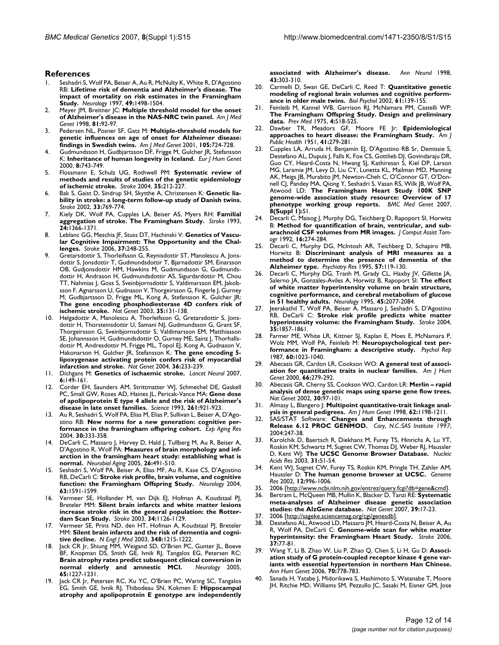#### **References**

- 1. Seshadri S, Wolf PA, Beiser A, Au R, McNulty K, White R, D'Agostino RB: **[Lifetime risk of dementia and Alzheimer's disease. The](http://www.ncbi.nlm.nih.gov/entrez/query.fcgi?cmd=Retrieve&db=PubMed&dopt=Abstract&list_uids=9409336) [impact of mortality on risk estimates in the Framingham](http://www.ncbi.nlm.nih.gov/entrez/query.fcgi?cmd=Retrieve&db=PubMed&dopt=Abstract&list_uids=9409336) [Study.](http://www.ncbi.nlm.nih.gov/entrez/query.fcgi?cmd=Retrieve&db=PubMed&dopt=Abstract&list_uids=9409336)** *Neurology* 1997, **49:**1498-1504.
- 2. Meyer JM, Breitner JC: **[Multiple threshold model for the onset](http://www.ncbi.nlm.nih.gov/entrez/query.fcgi?cmd=Retrieve&db=PubMed&dopt=Abstract&list_uids=9514594) [of Alzheimer's disease in the NAS-NRC twin panel.](http://www.ncbi.nlm.nih.gov/entrez/query.fcgi?cmd=Retrieve&db=PubMed&dopt=Abstract&list_uids=9514594)** *Am J Med Genet* 1998, **81:**92-97.
- 3. Pedersen NL, Posner SF, Gatz M: **[Multiple-threshold models for](http://www.ncbi.nlm.nih.gov/entrez/query.fcgi?cmd=Retrieve&db=PubMed&dopt=Abstract&list_uids=11803520) [genetic influences on age of onset for Alzheimer disease:](http://www.ncbi.nlm.nih.gov/entrez/query.fcgi?cmd=Retrieve&db=PubMed&dopt=Abstract&list_uids=11803520) [findings in Swedish twins.](http://www.ncbi.nlm.nih.gov/entrez/query.fcgi?cmd=Retrieve&db=PubMed&dopt=Abstract&list_uids=11803520)** *Am J Med Genet* 2001, **105:**724-728.
- 4. Gudmundsson H, Gudbjartsson DF, Frigge M, Gulcher JR, Stefansson K: **[Inheritance of human longevity in Iceland.](http://www.ncbi.nlm.nih.gov/entrez/query.fcgi?cmd=Retrieve&db=PubMed&dopt=Abstract&list_uids=11039573)** *Eur J Hum Genet* 2000, **8:**743-749.
- 5. Flossmann E, Schulz UG, Rothwell PM: **[Systematic review of](http://www.ncbi.nlm.nih.gov/entrez/query.fcgi?cmd=Retrieve&db=PubMed&dopt=Abstract&list_uids=14684773) [methods and results of studies of the genetic epidemiology](http://www.ncbi.nlm.nih.gov/entrez/query.fcgi?cmd=Retrieve&db=PubMed&dopt=Abstract&list_uids=14684773) [of ischemic stroke.](http://www.ncbi.nlm.nih.gov/entrez/query.fcgi?cmd=Retrieve&db=PubMed&dopt=Abstract&list_uids=14684773)** *Stroke* 2004, **35:**212-227.
- 6. Bak S, Gaist D, Sindrup SH, Skytthe A, Christensen K: **[Genetic lia](http://www.ncbi.nlm.nih.gov/entrez/query.fcgi?cmd=Retrieve&db=PubMed&dopt=Abstract&list_uids=11872902)[bility in stroke: a long-term follow-up study of Danish twins.](http://www.ncbi.nlm.nih.gov/entrez/query.fcgi?cmd=Retrieve&db=PubMed&dopt=Abstract&list_uids=11872902)** *Stroke* 2002, **33:**769-774.
- 7. Kiely DK, Wolf PA, Cupples LA, Beiser AS, Myers RH: **[Familial](http://www.ncbi.nlm.nih.gov/entrez/query.fcgi?cmd=Retrieve&db=PubMed&dopt=Abstract&list_uids=8362432) [aggregation of stroke. The Framingham Study.](http://www.ncbi.nlm.nih.gov/entrez/query.fcgi?cmd=Retrieve&db=PubMed&dopt=Abstract&list_uids=8362432)** *Stroke* 1993, **24:**1366-1371.
- Leblanc GG, Meschia JF, Stuss DT, Hachinski V: [Genetics of Vascu](http://www.ncbi.nlm.nih.gov/entrez/query.fcgi?cmd=Retrieve&db=PubMed&dopt=Abstract&list_uids=16339474)**[lar Cognitive Impairment: The Opportunity and the Chal](http://www.ncbi.nlm.nih.gov/entrez/query.fcgi?cmd=Retrieve&db=PubMed&dopt=Abstract&list_uids=16339474)[lenges.](http://www.ncbi.nlm.nih.gov/entrez/query.fcgi?cmd=Retrieve&db=PubMed&dopt=Abstract&list_uids=16339474)** *Stroke* 2006, **37:**248-255.
- 9. Gretarsdottir S, Thorleifsson G, Reynisdottir ST, Manolescu A, Jonsdottir S, Jonsdottir T, Gudmundsdottir T, Bjarnadottir SM, Einarsson OB, Gudjonsdottir HM, Hawkins M, Gudmundsson G, Gudmundsdottir H, Andrason H, Gudmundsdottir AS, Sigurdardottir M, Chou TT, Nahmias J, Goss S, Sveinbjornsdottir S, Valdimarsson EM, Jakobsson F, Agnarsson U, Gudnason V, Thorgeirsson G, Fingerle J, Gurney M, Gudbjartsson D, Frigge ML, Kong A, Stefansson K, Gulcher JR: **[The gene encoding phosphodiesterase 4D confers risk of](http://www.ncbi.nlm.nih.gov/entrez/query.fcgi?cmd=Retrieve&db=PubMed&dopt=Abstract&list_uids=14517540) [ischemic stroke.](http://www.ncbi.nlm.nih.gov/entrez/query.fcgi?cmd=Retrieve&db=PubMed&dopt=Abstract&list_uids=14517540)** *Nat Genet* 2003, **35:**131-138.
- 10. Helgadottir A, Manolescu A, Thorleifsson G, Gretarsdottir S, Jonsdottir H, Thorsteinsdottir U, Samani NJ, Gudmundsson G, Grant SF, Thorgeirsson G, Sveinbjornsdottir S, Valdimarsson EM, Matthiasson SE, Johannsson H, Gudmundsdottir O, Gurney ME, Sainz J, Thorhallsdottir M, Andresdottir M, Frigge ML, Topol EJ, Kong A, Gudnason V, Hakonarson H, Gulcher JR, Stefansson K: **[The gene encoding 5](http://www.ncbi.nlm.nih.gov/entrez/query.fcgi?cmd=Retrieve&db=PubMed&dopt=Abstract&list_uids=14770184) [lipoxygenase activating protein confers risk of myocardial](http://www.ncbi.nlm.nih.gov/entrez/query.fcgi?cmd=Retrieve&db=PubMed&dopt=Abstract&list_uids=14770184) [infarction and stroke.](http://www.ncbi.nlm.nih.gov/entrez/query.fcgi?cmd=Retrieve&db=PubMed&dopt=Abstract&list_uids=14770184)** *Nat Genet* 2004, **36:**233-239.
- 11. Dichgans M: **[Genetics of ischaemic stroke.](http://www.ncbi.nlm.nih.gov/entrez/query.fcgi?cmd=Retrieve&db=PubMed&dopt=Abstract&list_uids=17239802)** *Lancet Neurol* 2007, **6:**149-161.
- 12. Corder EH, Saunders AM, Strittmatter WJ, Schmechel DE, Gaskell PC, Small GW, Roses AD, Haines JL, Pericak-Vance MA: **[Gene dose](http://www.ncbi.nlm.nih.gov/entrez/query.fcgi?cmd=Retrieve&db=PubMed&dopt=Abstract&list_uids=8346443) [of apolipoprotein E type 4 allele and the risk of Alzheimer's](http://www.ncbi.nlm.nih.gov/entrez/query.fcgi?cmd=Retrieve&db=PubMed&dopt=Abstract&list_uids=8346443) [disease in late onset families.](http://www.ncbi.nlm.nih.gov/entrez/query.fcgi?cmd=Retrieve&db=PubMed&dopt=Abstract&list_uids=8346443)** *Science* 1993, **261:**921-923.
- 13. Au R, Seshadri S, Wolf PA, Elias M, Elias P, Sullivan L, Beiser A, D'Agostino RB: **[New norms for a new generation: cognitive per](http://www.ncbi.nlm.nih.gov/entrez/query.fcgi?cmd=Retrieve&db=PubMed&dopt=Abstract&list_uids=15371099)[formance in the framingham offspring cohort.](http://www.ncbi.nlm.nih.gov/entrez/query.fcgi?cmd=Retrieve&db=PubMed&dopt=Abstract&list_uids=15371099)** *Exp Aging Res* 2004, **30:**333-358.
- 14. DeCarli C, Massaro J, Harvey D, Hald J, Tullberg M, Au R, Beiser A, D'Agostino R, Wolf PA: **[Measures of brain morphology and inf](http://www.ncbi.nlm.nih.gov/entrez/query.fcgi?cmd=Retrieve&db=PubMed&dopt=Abstract&list_uids=15653178)[arction in the framingham heart study: establishing what is](http://www.ncbi.nlm.nih.gov/entrez/query.fcgi?cmd=Retrieve&db=PubMed&dopt=Abstract&list_uids=15653178) [normal.](http://www.ncbi.nlm.nih.gov/entrez/query.fcgi?cmd=Retrieve&db=PubMed&dopt=Abstract&list_uids=15653178)** *Neurobiol Aging* 2005, **26:**491-510.
- Seshadri S, Wolf PA, Beiser A, Elias MF, Au R, Kase CS, D'Agostino RB, DeCarli C: **[Stroke risk profile, brain volume, and cognitive](http://www.ncbi.nlm.nih.gov/entrez/query.fcgi?cmd=Retrieve&db=PubMed&dopt=Abstract&list_uids=15534241) [function: the Framingham Offspring Study.](http://www.ncbi.nlm.nih.gov/entrez/query.fcgi?cmd=Retrieve&db=PubMed&dopt=Abstract&list_uids=15534241)** *Neurology* 2004, **63:**1591-1599.
- Vermeer SE, Hollander M, van Dijk EJ, Hofman A, Koudstaal PJ, Breteler MM: **[Silent brain infarcts and white matter lesions](http://www.ncbi.nlm.nih.gov/entrez/query.fcgi?cmd=Retrieve&db=PubMed&dopt=Abstract&list_uids=12690219) [increase stroke risk in the general population: the Rotter](http://www.ncbi.nlm.nih.gov/entrez/query.fcgi?cmd=Retrieve&db=PubMed&dopt=Abstract&list_uids=12690219)[dam Scan Study.](http://www.ncbi.nlm.nih.gov/entrez/query.fcgi?cmd=Retrieve&db=PubMed&dopt=Abstract&list_uids=12690219)** *Stroke* 2003, **34:**1126-1129.
- 17. Vermeer SE, Prins ND, den HT, Hofman A, Koudstaal PJ, Breteler MM: **[Silent brain infarcts and the risk of dementia and cogni](http://www.ncbi.nlm.nih.gov/entrez/query.fcgi?cmd=Retrieve&db=PubMed&dopt=Abstract&list_uids=12660385)[tive decline.](http://www.ncbi.nlm.nih.gov/entrez/query.fcgi?cmd=Retrieve&db=PubMed&dopt=Abstract&list_uids=12660385)** *N Engl J Med* 2003, **348:**1215-1222.
- 18. Jack CR Jr, Shiung MM, Weigand SD, O'Brien PC, Gunter JL, Boeve BF, Knopman DS, Smith GE, Ivnik RJ, Tangalos EG, Petersen RC: **[Brain atrophy rates predict subsequent clinical conversion in](http://www.ncbi.nlm.nih.gov/entrez/query.fcgi?cmd=Retrieve&db=PubMed&dopt=Abstract&list_uids=16247049) normal elderly and amnestic MCI.** Neurology 2005, **[normal elderly and amnestic MCI.](http://www.ncbi.nlm.nih.gov/entrez/query.fcgi?cmd=Retrieve&db=PubMed&dopt=Abstract&list_uids=16247049)** *Neurology* 2005, **65:**1227-1231.
- 19. Jack CR Jr, Petersen RC, Xu YC, O'Brien PC, Waring SC, Tangalos EG, Smith GE, Ivnik RJ, Thibodeau SN, Kokmen E: **[Hippocampal](http://www.ncbi.nlm.nih.gov/entrez/query.fcgi?cmd=Retrieve&db=PubMed&dopt=Abstract&list_uids=9506546) [atrophy and apolipoprotein E genotype are independently](http://www.ncbi.nlm.nih.gov/entrez/query.fcgi?cmd=Retrieve&db=PubMed&dopt=Abstract&list_uids=9506546)**

**[associated with Alzheimer's disease.](http://www.ncbi.nlm.nih.gov/entrez/query.fcgi?cmd=Retrieve&db=PubMed&dopt=Abstract&list_uids=9506546)** *Ann Neurol* 1998, **43:**303-310.

- 20. Carmelli D, Swan GE, DeCarli C, Reed T: **[Quantitative genetic](http://www.ncbi.nlm.nih.gov/entrez/query.fcgi?cmd=Retrieve&db=PubMed&dopt=Abstract&list_uids=12385673) [modeling of regional brain volumes and cognitive perform](http://www.ncbi.nlm.nih.gov/entrez/query.fcgi?cmd=Retrieve&db=PubMed&dopt=Abstract&list_uids=12385673)[ance in older male twins.](http://www.ncbi.nlm.nih.gov/entrez/query.fcgi?cmd=Retrieve&db=PubMed&dopt=Abstract&list_uids=12385673)** *Biol Psychol* 2002, **61:**139-155.
- 21. Feinleib M, Kannel WB, Garrison RJ, McNamara PM, Castelli WP: **[The Framingham Offspring Study. Design and preliminary](http://www.ncbi.nlm.nih.gov/entrez/query.fcgi?cmd=Retrieve&db=PubMed&dopt=Abstract&list_uids=1208363) [data.](http://www.ncbi.nlm.nih.gov/entrez/query.fcgi?cmd=Retrieve&db=PubMed&dopt=Abstract&list_uids=1208363)** *Prev Med* 1975, **4:**518-525.
- 22. Dawber TR, Meadors GF, Moore FE Jr: **Epidemiological approaches to heart disease: the Framingham Study.** *Am J Public Health* 1951, **41:**279-281.
- Cupples LA, Arruda H, Benjamin EJ, D'Agostino RB Sr, Demissie S, Destefano AL, Dupuis J, Falls K, Fox CS, Gottlieb DJ, Govindaraju DR, Guo CY, Heard-Costa N, Hwang SJ, Kathiresan S, Kiel DP, Larson MG, Laramie JM, Levy D, Liu CY, Lunetta KL, Mailman MD, Manning AK, Meigs JB, Murabito JM, Newton-Cheh C, O'Connor GT, O'Donnell CJ, Pandey MA, Qiong Y, Seshadri S, Vasan RS, Wilk JB, Wolf PA, Atwood LD: **The Framingham Heart Study 100K SNP genome-wide association study resource: Overview of 17 phenotype working group reports.** *BMC Med Genet* 2007, **8(Suppl 1):**S1.
- 24. Decarli C, Maisog J, Murphy DG, Teichberg D, Rapoport SI, Horwitz B: **[Method for quantification of brain, ventricular, and sub](http://www.ncbi.nlm.nih.gov/entrez/query.fcgi?cmd=Retrieve&db=PubMed&dopt=Abstract&list_uids=1545026)[arachnoid CSF volumes from MR images.](http://www.ncbi.nlm.nih.gov/entrez/query.fcgi?cmd=Retrieve&db=PubMed&dopt=Abstract&list_uids=1545026)** *J Comput Assist Tomogr* 1992, **16:**274-284.
- 25. Decarli C, Murphy DG, McIntosh AR, Teichberg D, Schapiro MB, Horwitz B: **[Discriminant analysis of MRI measures as a](http://www.ncbi.nlm.nih.gov/entrez/query.fcgi?cmd=Retrieve&db=PubMed&dopt=Abstract&list_uids=7480379) [method to determine the presence of dementia of the](http://www.ncbi.nlm.nih.gov/entrez/query.fcgi?cmd=Retrieve&db=PubMed&dopt=Abstract&list_uids=7480379) [Alzheimer type.](http://www.ncbi.nlm.nih.gov/entrez/query.fcgi?cmd=Retrieve&db=PubMed&dopt=Abstract&list_uids=7480379)** *Psychiatry Res* 1995, **57:**119-130.
- 26. Decarli C, Murphy DG, Tranh M, Grady CL, Haxby JV, Gillette JA, Salerno JA, Gonzales-Aviles A, Horwitz B, Rapoport SI: **[The effect](http://www.ncbi.nlm.nih.gov/entrez/query.fcgi?cmd=Retrieve&db=PubMed&dopt=Abstract&list_uids=7501162) [of white matter hyperintensity volume on brain structure,](http://www.ncbi.nlm.nih.gov/entrez/query.fcgi?cmd=Retrieve&db=PubMed&dopt=Abstract&list_uids=7501162) cognitive performance, and cerebral metabolism of glucose [in 51 healthy adults.](http://www.ncbi.nlm.nih.gov/entrez/query.fcgi?cmd=Retrieve&db=PubMed&dopt=Abstract&list_uids=7501162)** *Neurology* 1995, **45:**2077-2084.
- 27. Jeerakathil T, Wolf PA, Beiser A, Massaro J, Seshadri S, D'Agostino RB, DeCarli C: **[Stroke risk profile predicts white matter](http://www.ncbi.nlm.nih.gov/entrez/query.fcgi?cmd=Retrieve&db=PubMed&dopt=Abstract&list_uids=15218158) [hyperintensity volume: the Framingham Study.](http://www.ncbi.nlm.nih.gov/entrez/query.fcgi?cmd=Retrieve&db=PubMed&dopt=Abstract&list_uids=15218158)** *Stroke* 2004, **35:**1857-1861.
- 28. Farmer ME, White LR, Kittner SJ, Kaplan E, Moes E, McNamara P, Wolz MM, Wolf PA, Feinleib M: **[Neuropsychological test per](http://www.ncbi.nlm.nih.gov/entrez/query.fcgi?cmd=Retrieve&db=PubMed&dopt=Abstract&list_uids=3628637)[formance in Framingham: a descriptive study.](http://www.ncbi.nlm.nih.gov/entrez/query.fcgi?cmd=Retrieve&db=PubMed&dopt=Abstract&list_uids=3628637)** *Psychol Rep* 1987, **60:**1023-1040.
- 29. Abecasis GR, Cardon LR, Cookson WO: **[A general test of associ](http://www.ncbi.nlm.nih.gov/entrez/query.fcgi?cmd=Retrieve&db=PubMed&dopt=Abstract&list_uids=10631157)[ation for quantitative traits in nuclear families.](http://www.ncbi.nlm.nih.gov/entrez/query.fcgi?cmd=Retrieve&db=PubMed&dopt=Abstract&list_uids=10631157)** *Am J Hum Genet* 2000, **66:**279-292.
- 30. Abecasis GR, Cherny SS, Cookson WO, Cardon LR: **[Merlin rapid](http://www.ncbi.nlm.nih.gov/entrez/query.fcgi?cmd=Retrieve&db=PubMed&dopt=Abstract&list_uids=11731797) [analysis of dense genetic maps using sparse gene flow trees.](http://www.ncbi.nlm.nih.gov/entrez/query.fcgi?cmd=Retrieve&db=PubMed&dopt=Abstract&list_uids=11731797)** *Nat Genet* 2002, **30:**97-101.
- 31. Almasy L, Blangero J: **[Multipoint quantitative-trait linkage anal](http://www.ncbi.nlm.nih.gov/entrez/query.fcgi?cmd=Retrieve&db=PubMed&dopt=Abstract&list_uids=9545414)[ysis in general pedigrees.](http://www.ncbi.nlm.nih.gov/entrez/query.fcgi?cmd=Retrieve&db=PubMed&dopt=Abstract&list_uids=9545414)** *Am J Hum Genet* 1998, **62:**1198-1211.
- 32. SAS/STAT Software: **Changes and Enhancements through Release 6.12 PROC GENMOD.** *Cary, N.C.:SAS Institute 1997*; 2004:247-38.
- Karolchik D, Baertsch R, Diekhans M, Furey TS, Hinrichs A, Lu YT, Roskin KM, Schwartz M, Sugnet CW, Thomas DJ, Weber RJ, Haussler D, Kent WJ: **[The UCSC Genome Browser Database.](http://www.ncbi.nlm.nih.gov/entrez/query.fcgi?cmd=Retrieve&db=PubMed&dopt=Abstract&list_uids=12519945)** *Nucleic Acids Res* 2003, **31:**51-54.
- Kent WJ, Sugnet CW, Furey TS, Roskin KM, Pringle TH, Zahler AM, Haussler D: **[The human genome browser at UCSC.](http://www.ncbi.nlm.nih.gov/entrez/query.fcgi?cmd=Retrieve&db=PubMed&dopt=Abstract&list_uids=12045153)** *Genome Res* 2002, **12:**996-1006.
- 35. 2006 [<http://www.ncbi.nlm.nih.gov/entrez/query.fcgi?db=gene&cmd>].
- 36. Bertram L, McQueen MB, Mullin K, Blacker D, Tanzi RE: **[Systematic](http://www.ncbi.nlm.nih.gov/entrez/query.fcgi?cmd=Retrieve&db=PubMed&dopt=Abstract&list_uids=17192785) [meta-analyses of Alzheimer disease genetic association](http://www.ncbi.nlm.nih.gov/entrez/query.fcgi?cmd=Retrieve&db=PubMed&dopt=Abstract&list_uids=17192785) [studies: the AlzGene database.](http://www.ncbi.nlm.nih.gov/entrez/query.fcgi?cmd=Retrieve&db=PubMed&dopt=Abstract&list_uids=17192785)** *Nat Genet* 2007, **39:**17-23.
- 37. 2006 [<http://sageke.sciencemag.org/cgi/genesdb>].
- 38. Destefano AL, Atwood LD, Massaro JM, Heard-Costa N, Beiser A, Au R, Wolf PA, DeCarli C: **[Genome-wide scan for white matter](http://www.ncbi.nlm.nih.gov/entrez/query.fcgi?cmd=Retrieve&db=PubMed&dopt=Abstract&list_uids=16322484) [hyperintensity: the Framingham Heart Study.](http://www.ncbi.nlm.nih.gov/entrez/query.fcgi?cmd=Retrieve&db=PubMed&dopt=Abstract&list_uids=16322484)** *Stroke* 2006, **37:**77-81.
- 39. Wang Y, Li B, Zhao W, Liu P, Zhao Q, Chen S, Li H, Gu D: **[Associ](http://www.ncbi.nlm.nih.gov/entrez/query.fcgi?cmd=Retrieve&db=PubMed&dopt=Abstract&list_uids=17044852)[ation study of G protein-coupled receptor kinase 4 gene var](http://www.ncbi.nlm.nih.gov/entrez/query.fcgi?cmd=Retrieve&db=PubMed&dopt=Abstract&list_uids=17044852)iants with essential hypertension in northern Han Chinese.** *Ann Hum Genet* 2006, **70:**778-783.
- Sanada H, Yatabe J, Midorikawa S, Hashimoto S, Watanabe T, Moore JH, Ritchie MD, Williams SM, Pezzullo JC, Sasaki M, Eisner GM, Jose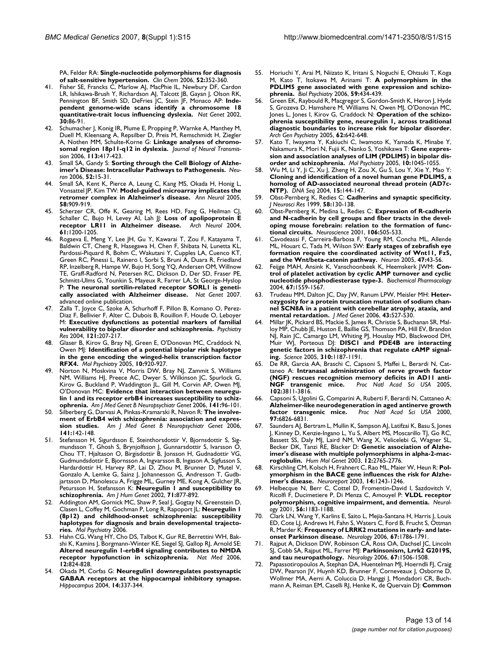PA, Felder RA: **[Single-nucleotide polymorphisms for diagnosis](http://www.ncbi.nlm.nih.gov/entrez/query.fcgi?cmd=Retrieve&db=PubMed&dopt=Abstract&list_uids=16439609) [of salt-sensitive hypertension.](http://www.ncbi.nlm.nih.gov/entrez/query.fcgi?cmd=Retrieve&db=PubMed&dopt=Abstract&list_uids=16439609)** *Clin Chem* 2006, **52:**352-360.

- 41. Fisher SE, Francks C, Marlow AJ, MacPhie IL, Newbury DF, Cardon LR, Ishikawa-Brush Y, Richardson AJ, Talcott JB, Gayan J, Olson RK, Pennington BF, Smith SD, DeFries JC, Stein JF, Monaco AP: **[Inde](http://www.ncbi.nlm.nih.gov/entrez/query.fcgi?cmd=Retrieve&db=PubMed&dopt=Abstract&list_uids=11743577)[pendent genome-wide scans identify a chromosome 18](http://www.ncbi.nlm.nih.gov/entrez/query.fcgi?cmd=Retrieve&db=PubMed&dopt=Abstract&list_uids=11743577) [quantitative-trait locus influencing dyslexia.](http://www.ncbi.nlm.nih.gov/entrez/query.fcgi?cmd=Retrieve&db=PubMed&dopt=Abstract&list_uids=11743577)** *Nat Genet* 2002, **30:**86-91.
- 42. Schumacher J, Konig IR, Plume E, Propping P, Warnke A, Manthey M, Duell M, Kleensang A, Repsilber D, Preis M, Remschmidt H, Ziegler A, Nothen MM, Schulte-Korne G: **[Linkage analyses of chromo](http://www.ncbi.nlm.nih.gov/entrez/query.fcgi?cmd=Retrieve&db=PubMed&dopt=Abstract&list_uids=16075186)[somal region 18p11-q12 in dyslexia.](http://www.ncbi.nlm.nih.gov/entrez/query.fcgi?cmd=Retrieve&db=PubMed&dopt=Abstract&list_uids=16075186)** *Journal of Neural Transmission* 2006, **113:**417-423.
- 43. Small SA, Gandy S: **[Sorting through the Cell Biology of Alzhe](http://www.ncbi.nlm.nih.gov/entrez/query.fcgi?cmd=Retrieve&db=PubMed&dopt=Abstract&list_uids=17015224)[imer's Disease: Intracellular Pathways to Pathogenesis.](http://www.ncbi.nlm.nih.gov/entrez/query.fcgi?cmd=Retrieve&db=PubMed&dopt=Abstract&list_uids=17015224)** *Neuron* 2006, **52:**15-31.
- Small SA, Kent K, Pierce A, Leung C, Kang MS, Okada H, Honig L, Vonsattel JP, Kim TW: **[Model-guided microarray implicates the](http://www.ncbi.nlm.nih.gov/entrez/query.fcgi?cmd=Retrieve&db=PubMed&dopt=Abstract&list_uids=16315276) [retromer complex in Alzheimer's disease.](http://www.ncbi.nlm.nih.gov/entrez/query.fcgi?cmd=Retrieve&db=PubMed&dopt=Abstract&list_uids=16315276)** *Ann Neurol* 2005, **58:**909-919.
- 45. Scherzer CR, Offe K, Gearing M, Rees HD, Fang G, Heilman CJ, Schaller C, Bujo H, Levey Al, Lah JJ: [Loss of apolipoprotein E](http://www.ncbi.nlm.nih.gov/entrez/query.fcgi?cmd=Retrieve&db=PubMed&dopt=Abstract&list_uids=15313836) **[receptor LR11 in Alzheimer disease.](http://www.ncbi.nlm.nih.gov/entrez/query.fcgi?cmd=Retrieve&db=PubMed&dopt=Abstract&list_uids=15313836)** *Arch Neurol* 2004, **61:**1200-1205.
- 46. Rogaeva E, Meng Y, Lee JH, Gu Y, Kawarai T, Zou F, Katayama T, Baldwin CT, Cheng R, Hasegawa H, Chen F, Shibata N, Lunetta KL, Pardossi-Piquard R, Bohm C, Wakutani Y, Cupples LA, Cuenco KT, Green RC, Pinessi L, Rainero I, Sorbi S, Bruni A, Duara R, Friedland RP, Inzelberg R, Hampe W, Bujo H, Song YQ, Andersen OM, Willnow TE, Graff-Radford N, Petersen RC, Dickson D, Der SD, Fraser PE, Schmitt-Ulms G, Younkin S, Mayeux R, Farrer LA, St George-Hyslop P: **[The neuronal sortilin-related receptor SORL1 is geneti](http://www.ncbi.nlm.nih.gov/entrez/query.fcgi?cmd=Retrieve&db=PubMed&dopt=Abstract&list_uids=17220890)[cally associated with Alzheimer disease.](http://www.ncbi.nlm.nih.gov/entrez/query.fcgi?cmd=Retrieve&db=PubMed&dopt=Abstract&list_uids=17220890)** *Nat Genet* 2007. advanced online publication.
- 47. Zalla T, Joyce C, Szoke A, Schurhoff F, Pillon B, Komano O, Perez-Diaz F, Bellivier F, Alter C, Dubois B, Rouillon F, Houde O, Leboyer M: **[Executive dysfunctions as potential markers of familial](http://www.ncbi.nlm.nih.gov/entrez/query.fcgi?cmd=Retrieve&db=PubMed&dopt=Abstract&list_uids=14675740) [vulnerability to bipolar disorder and schizophrenia.](http://www.ncbi.nlm.nih.gov/entrez/query.fcgi?cmd=Retrieve&db=PubMed&dopt=Abstract&list_uids=14675740)** *Psychiatry Res* 2004, **121:**207-217.
- 48. Glaser B, Kirov G, Bray NJ, Green E, O'Donovan MC, Craddock N, Owen MJ: **[Identification of a potential bipolar risk haplotype](http://www.ncbi.nlm.nih.gov/entrez/query.fcgi?cmd=Retrieve&db=PubMed&dopt=Abstract&list_uids=15940297) [in the gene encoding the winged-helix transcription factor](http://www.ncbi.nlm.nih.gov/entrez/query.fcgi?cmd=Retrieve&db=PubMed&dopt=Abstract&list_uids=15940297) [RFX4.](http://www.ncbi.nlm.nih.gov/entrez/query.fcgi?cmd=Retrieve&db=PubMed&dopt=Abstract&list_uids=15940297)** *Mol Psychiatry* 2005, **10:**920-927.
- 49. Norton N, Moskvina V, Morris DW, Bray NJ, Zammit S, Williams NM, Williams HJ, Preece AC, Dwyer S, Wilkinson JC, Spurlock G, Kirov G, Buckland P, Waddington JL, Gill M, Corvin AP, Owen MJ, O'Donovan MC: **[Evidence that interaction between neuregu](http://www.ncbi.nlm.nih.gov/entrez/query.fcgi?cmd=Retrieve&db=PubMed&dopt=Abstract&list_uids=16249994)[lin 1 and its receptor erbB4 increases susceptibility to schiz](http://www.ncbi.nlm.nih.gov/entrez/query.fcgi?cmd=Retrieve&db=PubMed&dopt=Abstract&list_uids=16249994)[ophrenia.](http://www.ncbi.nlm.nih.gov/entrez/query.fcgi?cmd=Retrieve&db=PubMed&dopt=Abstract&list_uids=16249994)** *Am J Med Genet B Neuropsychiatr Genet* 2006, **141:**96-101.
- 50. Silberberg G, Darvasi A, Pinkas-Kramarski R, Navon R: **[The involve](http://www.ncbi.nlm.nih.gov/entrez/query.fcgi?cmd=Retrieve&db=PubMed&dopt=Abstract&list_uids=16402353)[ment of ErbB4 with schizophrenia: association and expres](http://www.ncbi.nlm.nih.gov/entrez/query.fcgi?cmd=Retrieve&db=PubMed&dopt=Abstract&list_uids=16402353)[sion studies.](http://www.ncbi.nlm.nih.gov/entrez/query.fcgi?cmd=Retrieve&db=PubMed&dopt=Abstract&list_uids=16402353)** *Am J Med Genet B Neuropsychiatr Genet* 2006, **141:**142-148.
- 51. Stefansson H, Sigurdsson E, Steinthorsdottir V, Bjornsdottir S, Sigmundsson T, Ghosh S, Brynjolfsson J, Gunnarsdottir S, Ivarsson O, Chou TT, Hjaltason O, Birgisdottir B, Jonsson H, Gudnadottir VG, Gudmundsdottir E, Bjornsson A, Ingvarsson B, Ingason A, Sigfusson S, Hardardottir H, Harvey RP, Lai D, Zhou M, Brunner D, Mutel V, Gonzalo A, Lemke G, Sainz J, Johannesson G, Andresson T, Gudbjartsson D, Manolescu A, Frigge ML, Gurney ME, Kong A, Gulcher JR, Petursson H, Stefansson K: **[Neuregulin 1 and susceptibility to](http://www.ncbi.nlm.nih.gov/entrez/query.fcgi?cmd=Retrieve&db=PubMed&dopt=Abstract&list_uids=12145742) [schizophrenia.](http://www.ncbi.nlm.nih.gov/entrez/query.fcgi?cmd=Retrieve&db=PubMed&dopt=Abstract&list_uids=12145742)** *Am J Hum Genet* 2002, **71:**877-892.
- 52. Addington AM, Gornick MC, Shaw P, Seal J, Gogtay N, Greenstein D, Clasen L, Coffey M, Gochman P, Long R, Rapoport JL: **[Neuregulin 1](http://www.ncbi.nlm.nih.gov/entrez/query.fcgi?cmd=Retrieve&db=PubMed&dopt=Abstract&list_uids=17033632) [\(8p12\) and childhood-onset schizophrenia: susceptibility](http://www.ncbi.nlm.nih.gov/entrez/query.fcgi?cmd=Retrieve&db=PubMed&dopt=Abstract&list_uids=17033632) haplotypes for diagnosis and brain developmental trajecto[ries.](http://www.ncbi.nlm.nih.gov/entrez/query.fcgi?cmd=Retrieve&db=PubMed&dopt=Abstract&list_uids=17033632)** *Mol Psychiatry* 2006.
- 53. Hahn CG, Wang HY, Cho DS, Talbot K, Gur RE, Berrettini WH, Bakshi K, Kamins J, Borgmann-Winter KE, Siegel SJ, Gallop RJ, Arnold SE: **[Altered neuregulin 1-erbB4 signaling contributes to NMDA](http://www.ncbi.nlm.nih.gov/entrez/query.fcgi?cmd=Retrieve&db=PubMed&dopt=Abstract&list_uids=16767099) [receptor hypofunction in schizophrenia.](http://www.ncbi.nlm.nih.gov/entrez/query.fcgi?cmd=Retrieve&db=PubMed&dopt=Abstract&list_uids=16767099)** *Nat Med* 2006, **12:**824-828.
- 54. Okada M, Corfas G: **[Neuregulin1 downregulates postsynaptic](http://www.ncbi.nlm.nih.gov/entrez/query.fcgi?cmd=Retrieve&db=PubMed&dopt=Abstract&list_uids=15132433) [GABAA receptors at the hippocampal inhibitory synapse.](http://www.ncbi.nlm.nih.gov/entrez/query.fcgi?cmd=Retrieve&db=PubMed&dopt=Abstract&list_uids=15132433)** *Hippocampus* 2004, **14:**337-344.
- 55. Horiuchi Y, Arai M, Niizato K, Iritani S, Noguchi E, Ohtsuki T, Koga M, Kato T, Itokawa M, Arinami T: **[A polymorphism in the](http://www.ncbi.nlm.nih.gov/entrez/query.fcgi?cmd=Retrieve&db=PubMed&dopt=Abstract&list_uids=16213469) [PDLIM5 gene associated with gene expression and schizo](http://www.ncbi.nlm.nih.gov/entrez/query.fcgi?cmd=Retrieve&db=PubMed&dopt=Abstract&list_uids=16213469)[phrenia.](http://www.ncbi.nlm.nih.gov/entrez/query.fcgi?cmd=Retrieve&db=PubMed&dopt=Abstract&list_uids=16213469)** *Biol Psychiatry* 2006, **59:**434-439.
- 56. Green EK, Raybould R, Macgregor S, Gordon-Smith K, Heron J, Hyde S, Grozeva D, Hamshere M, Williams N, Owen MJ, O'Donovan MC, Jones L, Jones I, Kirov G, Craddock N: **[Operation of the schizo](http://www.ncbi.nlm.nih.gov/entrez/query.fcgi?cmd=Retrieve&db=PubMed&dopt=Abstract&list_uids=15939841)[phrenia susceptibility gene, neuregulin 1, across traditional](http://www.ncbi.nlm.nih.gov/entrez/query.fcgi?cmd=Retrieve&db=PubMed&dopt=Abstract&list_uids=15939841) diagnostic boundaries to increase risk for bipolar disorder.** *Arch Gen Psychiatry* 2005, **62:**642-648.
- 57. Kato T, Iwayama Y, Kakiuchi C, Iwamoto K, Yamada K, Minabe Y, Nakamura K, Mori N, Fujii K, Nanko S, Yoshikawa T: **[Gene expres](http://www.ncbi.nlm.nih.gov/entrez/query.fcgi?cmd=Retrieve&db=PubMed&dopt=Abstract&list_uids=16044170)[sion and association analyses of LIM \(PDLIM5\) in bipolar dis](http://www.ncbi.nlm.nih.gov/entrez/query.fcgi?cmd=Retrieve&db=PubMed&dopt=Abstract&list_uids=16044170)[order and schizophrenia.](http://www.ncbi.nlm.nih.gov/entrez/query.fcgi?cmd=Retrieve&db=PubMed&dopt=Abstract&list_uids=16044170)** *Mol Psychiatry* 2005, **10:**1045-1055.
- 58. Wu M, Li Y, Ji C, Xu J, Zheng H, Zou X, Gu S, Lou Y, Xie Y, Mao Y: **[Cloning and identification of a novel human gene PDLIM5, a](http://www.ncbi.nlm.nih.gov/entrez/query.fcgi?cmd=Retrieve&db=PubMed&dopt=Abstract&list_uids=15346770) homolog of AD-associated neuronal thread protein (AD7c-[NTP\).](http://www.ncbi.nlm.nih.gov/entrez/query.fcgi?cmd=Retrieve&db=PubMed&dopt=Abstract&list_uids=15346770)** *DNA Seq* 2004, **15:**144-147.
- 59. Obst-Pernberg K, Redies C: **[Cadherins and synaptic specificity.](http://www.ncbi.nlm.nih.gov/entrez/query.fcgi?cmd=Retrieve&db=PubMed&dopt=Abstract&list_uids=10491578)** *J Neurosci Res* 1999, **58:**130-138.
- 60. Obst-Pernberg K, Medina L, Redies C: **[Expression of R-cadherin](http://www.ncbi.nlm.nih.gov/entrez/query.fcgi?cmd=Retrieve&db=PubMed&dopt=Abstract&list_uids=11591453) [and N-cadherin by cell groups and fiber tracts in the devel](http://www.ncbi.nlm.nih.gov/entrez/query.fcgi?cmd=Retrieve&db=PubMed&dopt=Abstract&list_uids=11591453)oping mouse forebrain: relation to the formation of func[tional circuits.](http://www.ncbi.nlm.nih.gov/entrez/query.fcgi?cmd=Retrieve&db=PubMed&dopt=Abstract&list_uids=11591453)** *Neuroscience* 2001, **106:**505-533.
- Cavodeassi F, Carreira-Barbosa F, Young RM, Concha ML, Allende ML, Houart C, Tada M, Wilson SW: **[Early stages of zebrafish eye](http://www.ncbi.nlm.nih.gov/entrez/query.fcgi?cmd=Retrieve&db=PubMed&dopt=Abstract&list_uids=15996547) [formation require the coordinated activity of Wnt11, Fz5,](http://www.ncbi.nlm.nih.gov/entrez/query.fcgi?cmd=Retrieve&db=PubMed&dopt=Abstract&list_uids=15996547) [and the Wnt/beta-catenin pathway.](http://www.ncbi.nlm.nih.gov/entrez/query.fcgi?cmd=Retrieve&db=PubMed&dopt=Abstract&list_uids=15996547)** *Neuron* 2005, **47:**43-56.
- 62. Feijge MAH, Ansink K, Vanschoonbeek K, Heemskerk JWM: **[Con](http://www.ncbi.nlm.nih.gov/entrez/query.fcgi?cmd=Retrieve&db=PubMed&dopt=Abstract&list_uids=15041473)[trol of platelet activation by cyclic AMP turnover and cyclic](http://www.ncbi.nlm.nih.gov/entrez/query.fcgi?cmd=Retrieve&db=PubMed&dopt=Abstract&list_uids=15041473) [nucleotide phosphodiesterase type-3.](http://www.ncbi.nlm.nih.gov/entrez/query.fcgi?cmd=Retrieve&db=PubMed&dopt=Abstract&list_uids=15041473)** *Biochemical Pharmacology* 2004, **67:**1559-1567.
- 63. Trudeau MM, Dalton JC, Day JW, Ranum LPW, Meisler MH: **[Heter](http://www.ncbi.nlm.nih.gov/entrez/query.fcgi?cmd=Retrieve&db=PubMed&dopt=Abstract&list_uids=16236810)[ozygosity for a protein truncation mutation of sodium chan](http://www.ncbi.nlm.nih.gov/entrez/query.fcgi?cmd=Retrieve&db=PubMed&dopt=Abstract&list_uids=16236810)nel SCN8A in a patient with cerebellar atrophy, ataxia, and [mental retardation.](http://www.ncbi.nlm.nih.gov/entrez/query.fcgi?cmd=Retrieve&db=PubMed&dopt=Abstract&list_uids=16236810)** *J Med Genet* 2006, **43:**527-530.
- 64. Millar JK, Pickard BS, Mackie S, James R, Christie S, Buchanan SR, Malloy MP, Chubb JE, Huston E, Baillie GS, Thomson PA, Hill EV, Brandon NJ, Rain JC, Camargo LM, Whiting PJ, Houslay MD, Blackwood DH, Muir WJ, Porteous DJ: **[DISC1 and PDE4B are interacting](http://www.ncbi.nlm.nih.gov/entrez/query.fcgi?cmd=Retrieve&db=PubMed&dopt=Abstract&list_uids=16293762) [genetic factors in schizophrenia that regulate cAMP signal](http://www.ncbi.nlm.nih.gov/entrez/query.fcgi?cmd=Retrieve&db=PubMed&dopt=Abstract&list_uids=16293762)[ing.](http://www.ncbi.nlm.nih.gov/entrez/query.fcgi?cmd=Retrieve&db=PubMed&dopt=Abstract&list_uids=16293762)** *Science* 2005, **310:**1187-1191.
- 65. De RR, Garcia AA, Braschi C, Capsoni S, Maffei L, Berardi N, Cattaneo A: **[Intranasal administration of nerve growth factor](http://www.ncbi.nlm.nih.gov/entrez/query.fcgi?cmd=Retrieve&db=PubMed&dopt=Abstract&list_uids=15728733) [\(NGF\) rescues recognition memory deficits in AD11 anti-](http://www.ncbi.nlm.nih.gov/entrez/query.fcgi?cmd=Retrieve&db=PubMed&dopt=Abstract&list_uids=15728733)[NGF transgenic mice.](http://www.ncbi.nlm.nih.gov/entrez/query.fcgi?cmd=Retrieve&db=PubMed&dopt=Abstract&list_uids=15728733)** *Proc Natl Acad Sci USA* 2005, **102:**3811-3816.
- Capsoni S, Ugolini G, Comparini A, Ruberti F, Berardi N, Cattaneo A: **[Alzheimer-like neurodegeneration in aged antinerve growth](http://www.ncbi.nlm.nih.gov/entrez/query.fcgi?cmd=Retrieve&db=PubMed&dopt=Abstract&list_uids=10841577) [factor transgenic mice.](http://www.ncbi.nlm.nih.gov/entrez/query.fcgi?cmd=Retrieve&db=PubMed&dopt=Abstract&list_uids=10841577)** *Proc Natl Acad Sci USA* 2000, **97:**6826-6831.
- 67. Saunders AJ, Bertram L, Mullin K, Sampson AJ, Latifzai K, Basu S, Jones J, Kinney D, Kenzie-Ingano L, Yu S, Albert MS, Moscarillo TJ, Go RC, Bassett SS, Daly MJ, Laird NM, Wang X, Velicelebi G, Wagner SL, Becker DK, Tanzi RE, Blacker D: **[Genetic association of Alzhe](http://www.ncbi.nlm.nih.gov/entrez/query.fcgi?cmd=Retrieve&db=PubMed&dopt=Abstract&list_uids=12966032)[imer's disease with multiple polymorphisms in alpha-2-mac](http://www.ncbi.nlm.nih.gov/entrez/query.fcgi?cmd=Retrieve&db=PubMed&dopt=Abstract&list_uids=12966032)[roglobulin.](http://www.ncbi.nlm.nih.gov/entrez/query.fcgi?cmd=Retrieve&db=PubMed&dopt=Abstract&list_uids=12966032)** *Hum Mol Genet* 2003, **12:**2765-2776.
- Kirschling CM, Kolsch H, Frahnert C, Rao ML, Maier W, Heun R: [Pol](http://www.ncbi.nlm.nih.gov/entrez/query.fcgi?cmd=Retrieve&db=PubMed&dopt=Abstract&list_uids=12824768)**[ymorphism in the BACE gene influences the risk for Alzhe](http://www.ncbi.nlm.nih.gov/entrez/query.fcgi?cmd=Retrieve&db=PubMed&dopt=Abstract&list_uids=12824768)[imer's disease.](http://www.ncbi.nlm.nih.gov/entrez/query.fcgi?cmd=Retrieve&db=PubMed&dopt=Abstract&list_uids=12824768)** *Neuroreport* 2003, **14:**1243-1246.
- 69. Helbecque N, Berr C, Cottel D, Fromentin-David I, Sazdovitch V, Ricolfi F, Ducimetiere P, Di Menza C, Amouyel P: **[VLDL receptor](http://www.ncbi.nlm.nih.gov/entrez/query.fcgi?cmd=Retrieve&db=PubMed&dopt=Abstract&list_uids=11342683) [polymorphism, cognitive impairment, and dementia.](http://www.ncbi.nlm.nih.gov/entrez/query.fcgi?cmd=Retrieve&db=PubMed&dopt=Abstract&list_uids=11342683)** *Neurology* 2001, **56:**1183-1188.
- 70. Clark LN, Wang Y, Karlins E, Saito L, Mejia-Santana H, Harris J, Louis ED, Cote LJ, Andrews H, Fahn S, Waters C, Ford B, Frucht S, Ottman R, Marder K: **[Frequency of LRRK2 mutations in early- and late](http://www.ncbi.nlm.nih.gov/entrez/query.fcgi?cmd=Retrieve&db=PubMed&dopt=Abstract&list_uids=17050822)[onset Parkinson disease.](http://www.ncbi.nlm.nih.gov/entrez/query.fcgi?cmd=Retrieve&db=PubMed&dopt=Abstract&list_uids=17050822)** *Neurology* 2006, **67:**1786-1791.
- 71. Rajput A, Dickson DW, Robinson CA, Ross OA, Dachsel JC, Lincoln SJ, Cobb SA, Rajput ML, Farrer MJ: **[Parkinsonism, Lrrk2 G2019S,](http://www.ncbi.nlm.nih.gov/entrez/query.fcgi?cmd=Retrieve&db=PubMed&dopt=Abstract&list_uids=17060589) [and tau neuropathology.](http://www.ncbi.nlm.nih.gov/entrez/query.fcgi?cmd=Retrieve&db=PubMed&dopt=Abstract&list_uids=17060589)** *Neurology* 2006, **67:**1506-1508.
- Papassotiropoulos A, Stephan DA, Huentelman MJ, Hoerndli FJ, Craig DW, Pearson JV, Huynh KD, Brunner F, Corneveaux J, Osborne D, Wollmer MA, Aerni A, Coluccia D, Hanggi J, Mondadori CR, Buchmann A, Reiman EM, Caselli RJ, Henke K, de Quervain DJ: **[Common](http://www.ncbi.nlm.nih.gov/entrez/query.fcgi?cmd=Retrieve&db=PubMed&dopt=Abstract&list_uids=17053149)**